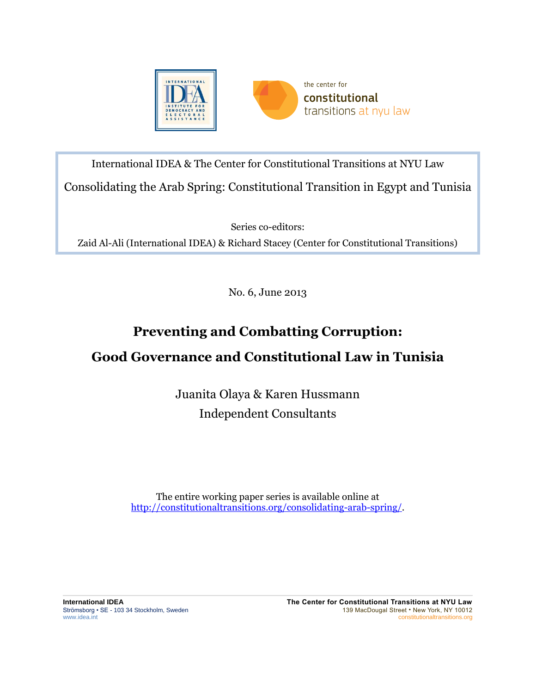

International IDEA & The Center for Constitutional Transitions at NYU Law Consolidating the Arab Spring: Constitutional Transition in Egypt and Tunisia

Series co-editors:

Zaid Al-Ali (International IDEA) & Richard Stacey (Center for Constitutional Transitions)

No. 6, June 2013

# **Preventing and Combatting Corruption:**

# **Good Governance and Constitutional Law in Tunisia**

Juanita Olaya & Karen Hussmann Independent Consultants

The entire working paper series is available online at [http://constitutionaltransitions.org/consolidating-arab-spring/.](http://constitutionaltransitions.org/consolidating-arab-spring/)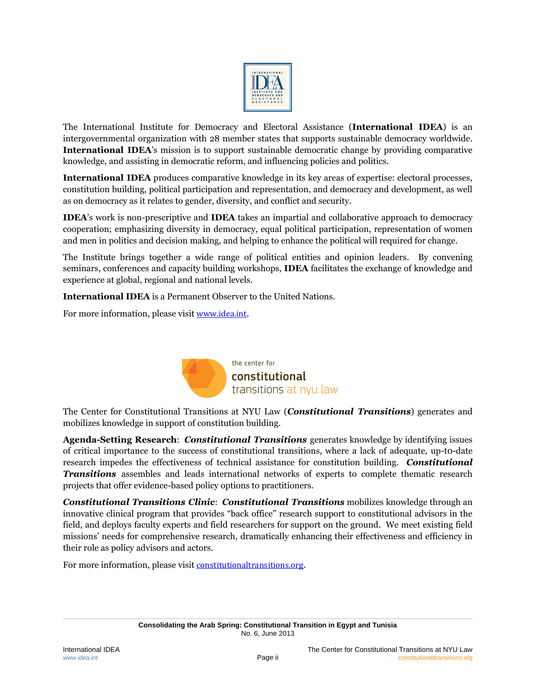

The International Institute for Democracy and Electoral Assistance (**International IDEA**) is an intergovernmental organization with 28 member states that supports sustainable democracy worldwide. **International IDEA**'s mission is to support sustainable democratic change by providing comparative knowledge, and assisting in democratic reform, and influencing policies and politics.

**International IDEA** produces comparative knowledge in its key areas of expertise: electoral processes, constitution building, political participation and representation, and democracy and development, as well as on democracy as it relates to gender, diversity, and conflict and security.

**IDEA**'s work is non-prescriptive and **IDEA** takes an impartial and collaborative approach to democracy cooperation; emphasizing diversity in democracy, equal political participation, representation of women and men in politics and decision making, and helping to enhance the political will required for change.

The Institute brings together a wide range of political entities and opinion leaders. By convening seminars, conferences and capacity building workshops, **IDEA** facilitates the exchange of knowledge and experience at global, regional and national levels.

**International IDEA** is a Permanent Observer to the United Nations.

For more information, please visit [www.idea.int](http://www.idea.int/).



The Center for Constitutional Transitions at NYU Law (*Constitutional Transitions*) generates and mobilizes knowledge in support of constitution building.

**Agenda-Setting Research**: *Constitutional Transitions* generates knowledge by identifying issues of critical importance to the success of constitutional transitions, where a lack of adequate, up-t0-date research impedes the effectiveness of technical assistance for constitution building. *Constitutional Transitions* assembles and leads international networks of experts to complete thematic research projects that offer evidence-based policy options to practitioners.

*Constitutional Transitions Clinic*: *Constitutional Transitions* mobilizes knowledge through an innovative clinical program that provides "back office" research support to constitutional advisors in the field, and deploys faculty experts and field researchers for support on the ground. We meet existing field missions' needs for comprehensive research, dramatically enhancing their effectiveness and efficiency in their role as policy advisors and actors.

For more information, please visit [constitutionaltransitions.org](http://www.constitutionaltransitions.org/).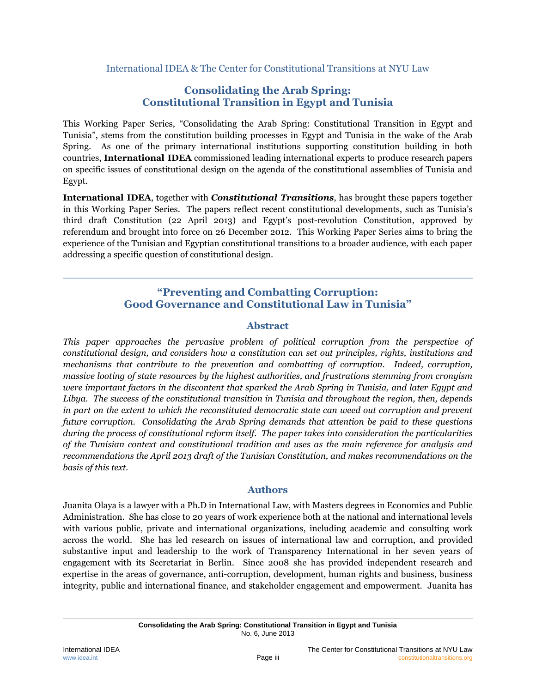International IDEA & The Center for Constitutional Transitions at NYU Law

# **Consolidating the Arab Spring: Constitutional Transition in Egypt and Tunisia**

This Working Paper Series, "Consolidating the Arab Spring: Constitutional Transition in Egypt and Tunisia", stems from the constitution building processes in Egypt and Tunisia in the wake of the Arab Spring. As one of the primary international institutions supporting constitution building in both countries, **International IDEA** commissioned leading international experts to produce research papers on specific issues of constitutional design on the agenda of the constitutional assemblies of Tunisia and Egypt.

**International IDEA**, together with *Constitutional Transitions*, has brought these papers together in this Working Paper Series. The papers reflect recent constitutional developments, such as Tunisia's third draft Constitution (22 April 2013) and Egypt's post-revolution Constitution, approved by referendum and brought into force on 26 December 2012. This Working Paper Series aims to bring the experience of the Tunisian and Egyptian constitutional transitions to a broader audience, with each paper addressing a specific question of constitutional design.

# **"Preventing and Combatting Corruption: Good Governance and Constitutional Law in Tunisia"**

#### **Abstract**

*This paper approaches the pervasive problem of political corruption from the perspective of constitutional design, and considers how a constitution can set out principles, rights, institutions and mechanisms that contribute to the prevention and combatting of corruption. Indeed, corruption, massive looting of state resources by the highest authorities, and frustrations stemming from cronyism were important factors in the discontent that sparked the Arab Spring in Tunisia, and later Egypt and Libya. The success of the constitutional transition in Tunisia and throughout the region, then, depends in part on the extent to which the reconstituted democratic state can weed out corruption and prevent future corruption. Consolidating the Arab Spring demands that attention be paid to these questions during the process of constitutional reform itself. The paper takes into consideration the particularities of the Tunisian context and constitutional tradition and uses as the main reference for analysis and recommendations the April 2013 draft of the Tunisian Constitution, and makes recommendations on the basis of this text.*

#### **Authors**

Juanita Olaya is a lawyer with a Ph.D in International Law, with Masters degrees in Economics and Public Administration. She has close to 20 years of work experience both at the national and international levels with various public, private and international organizations, including academic and consulting work across the world. She has led research on issues of international law and corruption, and provided substantive input and leadership to the work of Transparency International in her seven years of engagement with its Secretariat in Berlin. Since 2008 she has provided independent research and expertise in the areas of governance, anti-corruption, development, human rights and business, business integrity, public and international finance, and stakeholder engagement and empowerment. Juanita has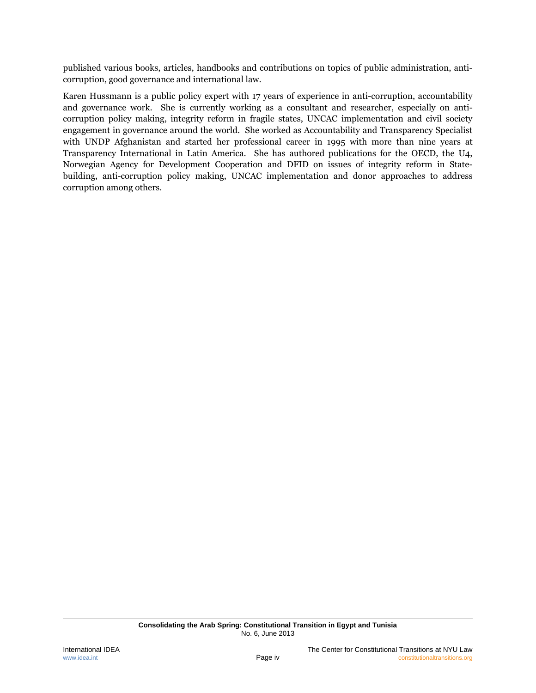published various books, articles, handbooks and contributions on topics of public administration, anticorruption, good governance and international law.

Karen Hussmann is a public policy expert with 17 years of experience in anti-corruption, accountability and governance work. She is currently working as a consultant and researcher, especially on anticorruption policy making, integrity reform in fragile states, UNCAC implementation and civil society engagement in governance around the world. She worked as Accountability and Transparency Specialist with UNDP Afghanistan and started her professional career in 1995 with more than nine years at Transparency International in Latin America. She has authored publications for the OECD, the U4, Norwegian Agency for Development Cooperation and DFID on issues of integrity reform in Statebuilding, anti-corruption policy making, UNCAC implementation and donor approaches to address corruption among others.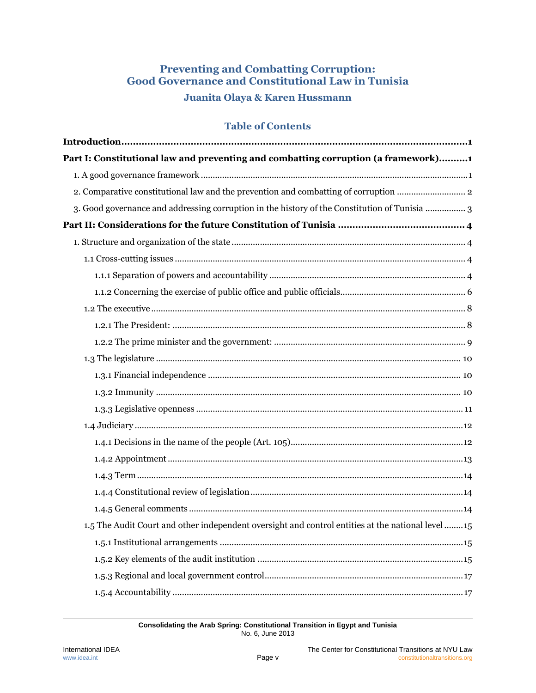# **Preventing and Combatting Corruption: Good Governance and Constitutional Law in Tunisia**

# **Juanita Olaya & Karen Hussmann**

### **Table of Contents**

| Part I: Constitutional law and preventing and combatting corruption (a framework)1                |
|---------------------------------------------------------------------------------------------------|
|                                                                                                   |
|                                                                                                   |
| 3. Good governance and addressing corruption in the history of the Constitution of Tunisia  3     |
|                                                                                                   |
|                                                                                                   |
|                                                                                                   |
|                                                                                                   |
|                                                                                                   |
|                                                                                                   |
|                                                                                                   |
|                                                                                                   |
|                                                                                                   |
|                                                                                                   |
|                                                                                                   |
|                                                                                                   |
|                                                                                                   |
|                                                                                                   |
|                                                                                                   |
|                                                                                                   |
|                                                                                                   |
|                                                                                                   |
| 1.5 The Audit Court and other independent oversight and control entities at the national level 15 |
|                                                                                                   |
|                                                                                                   |
|                                                                                                   |
|                                                                                                   |

**Consolidating the Arab Spring: Constitutional Transition in Egypt and Tunisia** No. 6, June 2013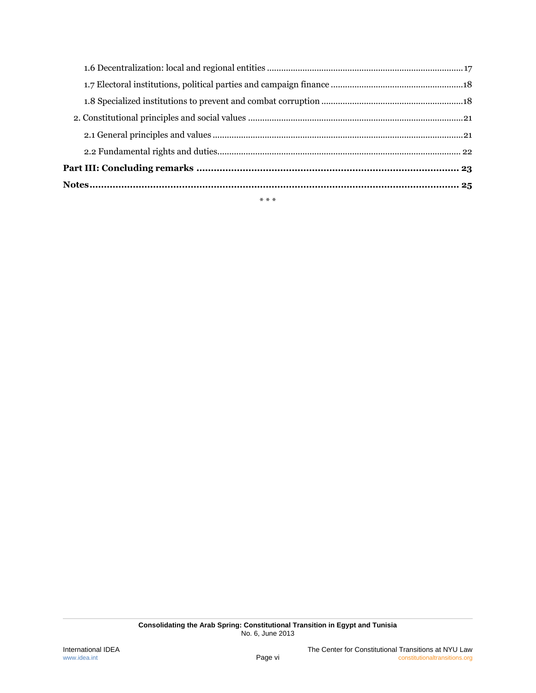| $\sim$ | $\sim$ | $\sim$ |
|--------|--------|--------|
|        |        |        |
|        |        |        |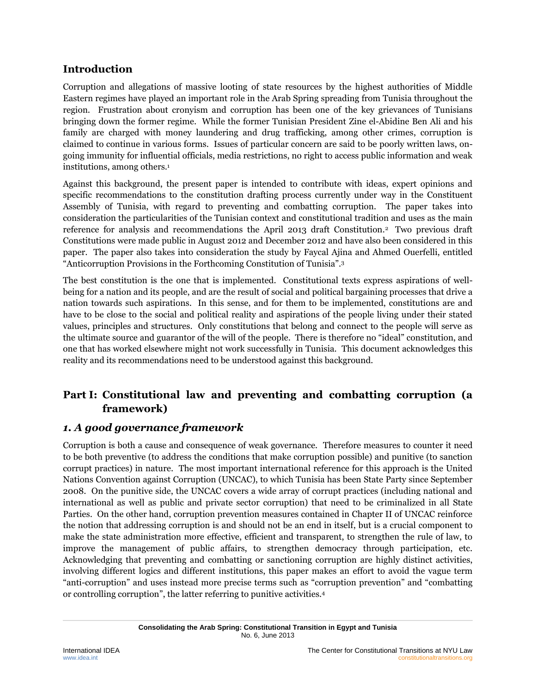# <span id="page-6-0"></span>**Introduction**

Corruption and allegations of massive looting of state resources by the highest authorities of Middle Eastern regimes have played an important role in the Arab Spring spreading from Tunisia throughout the region. Frustration about cronyism and corruption has been one of the key grievances of Tunisians bringing down the former regime. While the former Tunisian President Zine el-Abidine Ben Ali and his family are charged with money laundering and drug trafficking, among other crimes, corruption is claimed to continue in various forms. Issues of particular concern are said to be poorly written laws, ongoing immunity for influential officials, media restrictions, no right to access public information and weak institutions, among others. 1

Against this background, the present paper is intended to contribute with ideas, expert opinions and specific recommendations to the constitution drafting process currently under way in the Constituent Assembly of Tunisia, with regard to preventing and combatting corruption. The paper takes into consideration the particularities of the Tunisian context and constitutional tradition and uses as the main reference for analysis and recommendations the April 2013 draft Constitution.<sup>2</sup> Two previous draft Constitutions were made public in August 2012 and December 2012 and have also been considered in this paper. The paper also takes into consideration the study by Faycal Ajina and Ahmed Ouerfelli, entitled "Anticorruption Provisions in the Forthcoming Constitution of Tunisia". 3

<span id="page-6-3"></span>The best constitution is the one that is implemented. Constitutional texts express aspirations of wellbeing for a nation and its people, and are the result of social and political bargaining processes that drive a nation towards such aspirations. In this sense, and for them to be implemented, constitutions are and have to be close to the social and political reality and aspirations of the people living under their stated values, principles and structures. Only constitutions that belong and connect to the people will serve as the ultimate source and guarantor of the will of the people. There is therefore no "ideal" constitution, and one that has worked elsewhere might not work successfully in Tunisia. This document acknowledges this reality and its recommendations need to be understood against this background.

# <span id="page-6-1"></span>**Part I: Constitutional law and preventing and combatting corruption (a framework)**

# <span id="page-6-2"></span>*1. A good governance framework*

Corruption is both a cause and consequence of weak governance. Therefore measures to counter it need to be both preventive (to address the conditions that make corruption possible) and punitive (to sanction corrupt practices) in nature. The most important international reference for this approach is the United Nations Convention against Corruption (UNCAC), to which Tunisia has been State Party since September 2008. On the punitive side, the UNCAC covers a wide array of corrupt practices (including national and international as well as public and private sector corruption) that need to be criminalized in all State Parties. On the other hand, corruption prevention measures contained in Chapter II of UNCAC reinforce the notion that addressing corruption is and should not be an end in itself, but is a crucial component to make the state administration more effective, efficient and transparent, to strengthen the rule of law, to improve the management of public affairs, to strengthen democracy through participation, etc. Acknowledging that preventing and combatting or sanctioning corruption are highly distinct activities, involving different logics and different institutions, this paper makes an effort to avoid the vague term "anti-corruption" and uses instead more precise terms such as "corruption prevention" and "combatting or controlling corruption", the latter referring to punitive activities.4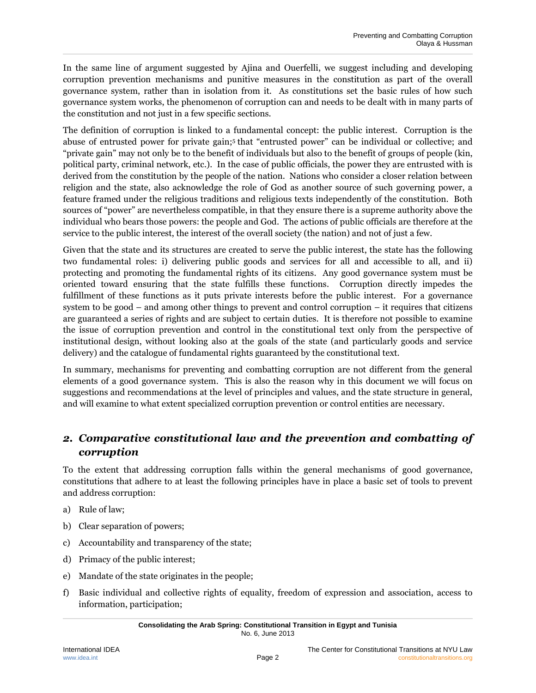In the same line of argument suggested by Ajina and Ouerfelli, we suggest including and developing corruption prevention mechanisms and punitive measures in the constitution as part of the overall governance system, rather than in isolation from it. As constitutions set the basic rules of how such governance system works, the phenomenon of corruption can and needs to be dealt with in many parts of the constitution and not just in a few specific sections.

The definition of corruption is linked to a fundamental concept: the public interest. Corruption is the abuse of entrusted power for private gain;<sup>5</sup> that "entrusted power" can be individual or collective; and "private gain" may not only be to the benefit of individuals but also to the benefit of groups of people (kin, political party, criminal network, etc.). In the case of public officials, the power they are entrusted with is derived from the constitution by the people of the nation. Nations who consider a closer relation between religion and the state, also acknowledge the role of God as another source of such governing power, a feature framed under the religious traditions and religious texts independently of the constitution. Both sources of "power" are nevertheless compatible, in that they ensure there is a supreme authority above the individual who bears those powers: the people and God. The actions of public officials are therefore at the service to the public interest, the interest of the overall society (the nation) and not of just a few.

Given that the state and its structures are created to serve the public interest, the state has the following two fundamental roles: i) delivering public goods and services for all and accessible to all, and ii) protecting and promoting the fundamental rights of its citizens. Any good governance system must be oriented toward ensuring that the state fulfills these functions. Corruption directly impedes the fulfillment of these functions as it puts private interests before the public interest. For a governance system to be good – and among other things to prevent and control corruption – it requires that citizens are guaranteed a series of rights and are subject to certain duties. It is therefore not possible to examine the issue of corruption prevention and control in the constitutional text only from the perspective of institutional design, without looking also at the goals of the state (and particularly goods and service delivery) and the catalogue of fundamental rights guaranteed by the constitutional text.

In summary, mechanisms for preventing and combatting corruption are not different from the general elements of a good governance system. This is also the reason why in this document we will focus on suggestions and recommendations at the level of principles and values, and the state structure in general, and will examine to what extent specialized corruption prevention or control entities are necessary.

# <span id="page-7-0"></span>*2. Comparative constitutional law and the prevention and combatting of corruption*

To the extent that addressing corruption falls within the general mechanisms of good governance, constitutions that adhere to at least the following principles have in place a basic set of tools to prevent and address corruption:

- a) Rule of law;
- b) Clear separation of powers;
- c) Accountability and transparency of the state;
- d) Primacy of the public interest;
- e) Mandate of the state originates in the people;
- f) Basic individual and collective rights of equality, freedom of expression and association, access to information, participation;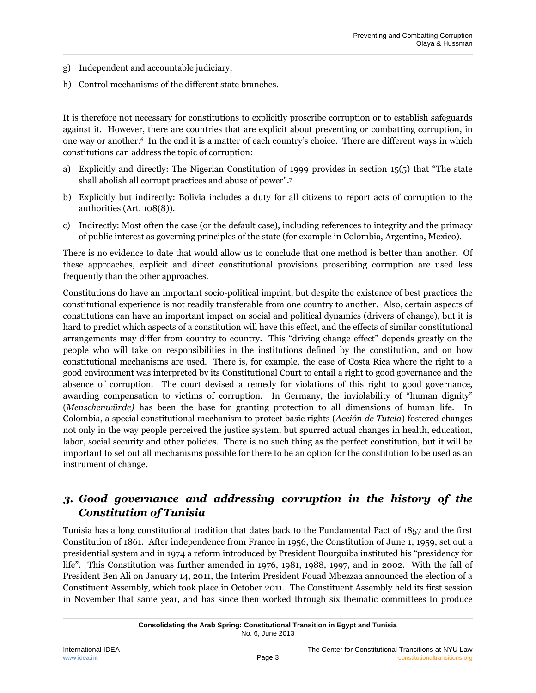- g) Independent and accountable judiciary;
- h) Control mechanisms of the different state branches.

It is therefore not necessary for constitutions to explicitly proscribe corruption or to establish safeguards against it. However, there are countries that are explicit about preventing or combatting corruption, in one way or another.<sup>6</sup> In the end it is a matter of each country's choice. There are different ways in which constitutions can address the topic of corruption:

- <span id="page-8-1"></span>a) Explicitly and directly: The Nigerian Constitution of 1999 provides in section 15(5) that "The state shall abolish all corrupt practices and abuse of power". 7
- b) Explicitly but indirectly: Bolivia includes a duty for all citizens to report acts of corruption to the authorities (Art. 108(8)).
- c) Indirectly: Most often the case (or the default case), including references to integrity and the primacy of public interest as governing principles of the state (for example in Colombia, Argentina, Mexico).

There is no evidence to date that would allow us to conclude that one method is better than another. Of these approaches, explicit and direct constitutional provisions proscribing corruption are used less frequently than the other approaches.

Constitutions do have an important socio-political imprint, but despite the existence of best practices the constitutional experience is not readily transferable from one country to another. Also, certain aspects of constitutions can have an important impact on social and political dynamics (drivers of change), but it is hard to predict which aspects of a constitution will have this effect, and the effects of similar constitutional arrangements may differ from country to country. This "driving change effect" depends greatly on the people who will take on responsibilities in the institutions defined by the constitution, and on how constitutional mechanisms are used. There is, for example, the case of Costa Rica where the right to a good environment was interpreted by its Constitutional Court to entail a right to good governance and the absence of corruption. The court devised a remedy for violations of this right to good governance, awarding compensation to victims of corruption. In Germany, the inviolability of "human dignity" (*Menschenwürde)* has been the base for granting protection to all dimensions of human life. In Colombia, a special constitutional mechanism to protect basic rights (*Acción de Tutela*) fostered changes not only in the way people perceived the justice system, but spurred actual changes in health, education, labor, social security and other policies. There is no such thing as the perfect constitution, but it will be important to set out all mechanisms possible for there to be an option for the constitution to be used as an instrument of change.

# <span id="page-8-0"></span>*3. Good governance and addressing corruption in the history of the Constitution of Tunisia*

Tunisia has a long constitutional tradition that dates back to the Fundamental Pact of 1857 and the first Constitution of 1861. After independence from France in 1956, the Constitution of June 1, 1959, set out a presidential system and in 1974 a reform introduced by President Bourguiba instituted his "presidency for life". This Constitution was further amended in 1976, 1981, 1988, 1997, and in 2002. With the fall of President Ben Ali on January 14, 2011, the Interim President Fouad Mbezzaa announced the election of a Constituent Assembly, which took place in October 2011. The Constituent Assembly held its first session in November that same year, and has since then worked through six thematic committees to produce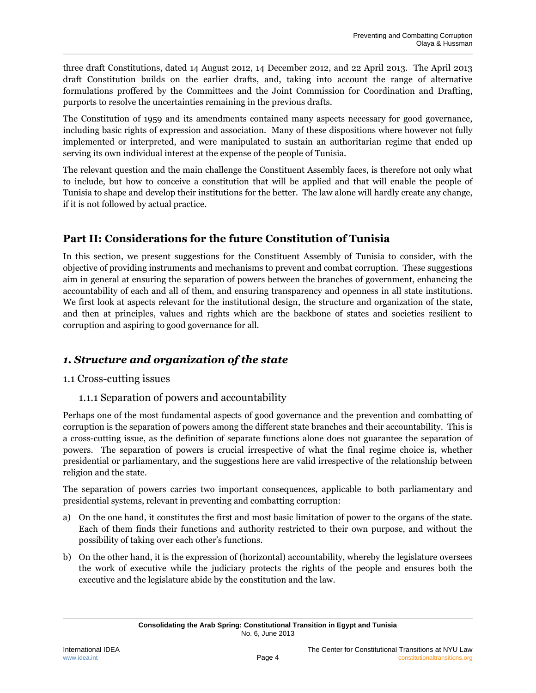three draft Constitutions, dated 14 August 2012, 14 December 2012, and 22 April 2013. The April 2013 draft Constitution builds on the earlier drafts, and, taking into account the range of alternative formulations proffered by the Committees and the Joint Commission for Coordination and Drafting, purports to resolve the uncertainties remaining in the previous drafts.

The Constitution of 1959 and its amendments contained many aspects necessary for good governance, including basic rights of expression and association. Many of these dispositions where however not fully implemented or interpreted, and were manipulated to sustain an authoritarian regime that ended up serving its own individual interest at the expense of the people of Tunisia.

The relevant question and the main challenge the Constituent Assembly faces, is therefore not only what to include, but how to conceive a constitution that will be applied and that will enable the people of Tunisia to shape and develop their institutions for the better. The law alone will hardly create any change, if it is not followed by actual practice.

# <span id="page-9-0"></span>**Part II: Considerations for the future Constitution of Tunisia**

In this section, we present suggestions for the Constituent Assembly of Tunisia to consider, with the objective of providing instruments and mechanisms to prevent and combat corruption. These suggestions aim in general at ensuring the separation of powers between the branches of government, enhancing the accountability of each and all of them, and ensuring transparency and openness in all state institutions. We first look at aspects relevant for the institutional design, the structure and organization of the state, and then at principles, values and rights which are the backbone of states and societies resilient to corruption and aspiring to good governance for all.

# <span id="page-9-1"></span>*1. Structure and organization of the state*

### <span id="page-9-2"></span>1.1 Cross-cutting issues

1.1.1 Separation of powers and accountability

<span id="page-9-3"></span>Perhaps one of the most fundamental aspects of good governance and the prevention and combatting of corruption is the separation of powers among the different state branches and their accountability. This is a cross-cutting issue, as the definition of separate functions alone does not guarantee the separation of powers. The separation of powers is crucial irrespective of what the final regime choice is, whether presidential or parliamentary, and the suggestions here are valid irrespective of the relationship between religion and the state.

The separation of powers carries two important consequences, applicable to both parliamentary and presidential systems, relevant in preventing and combatting corruption:

- a) On the one hand, it constitutes the first and most basic limitation of power to the organs of the state. Each of them finds their functions and authority restricted to their own purpose, and without the possibility of taking over each other's functions.
- b) On the other hand, it is the expression of (horizontal) accountability, whereby the legislature oversees the work of executive while the judiciary protects the rights of the people and ensures both the executive and the legislature abide by the constitution and the law.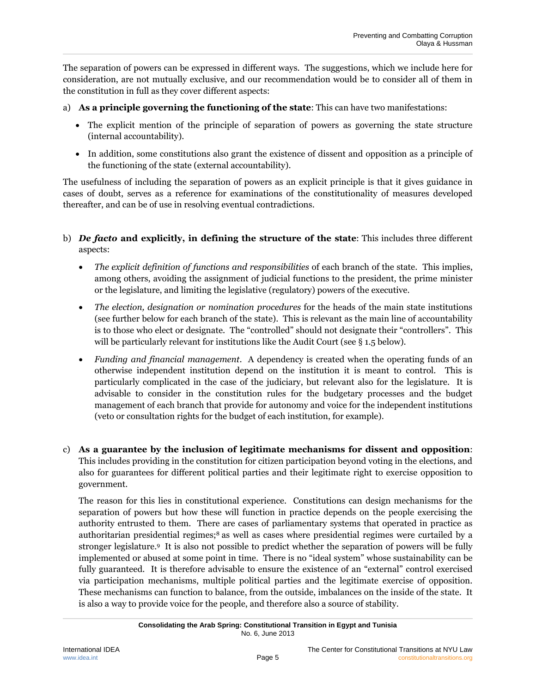The separation of powers can be expressed in different ways. The suggestions, which we include here for consideration, are not mutually exclusive, and our recommendation would be to consider all of them in the constitution in full as they cover different aspects:

- a) **As a principle governing the functioning of the state**: This can have two manifestations:
	- The explicit mention of the principle of separation of powers as governing the state structure (internal accountability).
	- In addition, some constitutions also grant the existence of dissent and opposition as a principle of the functioning of the state (external accountability).

The usefulness of including the separation of powers as an explicit principle is that it gives guidance in cases of doubt, serves as a reference for examinations of the constitutionality of measures developed thereafter, and can be of use in resolving eventual contradictions.

- b) *De facto* **and explicitly, in defining the structure of the state**: This includes three different aspects:
	- *The explicit definition of functions and responsibilities* of each branch of the state. This implies, among others, avoiding the assignment of judicial functions to the president, the prime minister or the legislature, and limiting the legislative (regulatory) powers of the executive.
	- *The election, designation or nomination procedures* for the heads of the main state institutions (see further below for each branch of the state). This is relevant as the main line of accountability is to those who elect or designate. The "controlled" should not designate their "controllers". This will be particularly relevant for institutions like the Audit Court (see § 1.5 below).
	- *Funding and financial management*. A dependency is created when the operating funds of an otherwise independent institution depend on the institution it is meant to control. This is particularly complicated in the case of the judiciary, but relevant also for the legislature. It is advisable to consider in the constitution rules for the budgetary processes and the budget management of each branch that provide for autonomy and voice for the independent institutions (veto or consultation rights for the budget of each institution, for example).
- c) **As a guarantee by the inclusion of legitimate mechanisms for dissent and opposition**: This includes providing in the constitution for citizen participation beyond voting in the elections, and also for guarantees for different political parties and their legitimate right to exercise opposition to government.

The reason for this lies in constitutional experience. Constitutions can design mechanisms for the separation of powers but how these will function in practice depends on the people exercising the authority entrusted to them. There are cases of parliamentary systems that operated in practice as authoritarian presidential regimes;<sup>8</sup> as well as cases where presidential regimes were curtailed by a stronger legislature. <sup>9</sup> It is also not possible to predict whether the separation of powers will be fully implemented or abused at some point in time. There is no "ideal system" whose sustainability can be fully guaranteed. It is therefore advisable to ensure the existence of an "external" control exercised via participation mechanisms, multiple political parties and the legitimate exercise of opposition. These mechanisms can function to balance, from the outside, imbalances on the inside of the state. It is also a way to provide voice for the people, and therefore also a source of stability.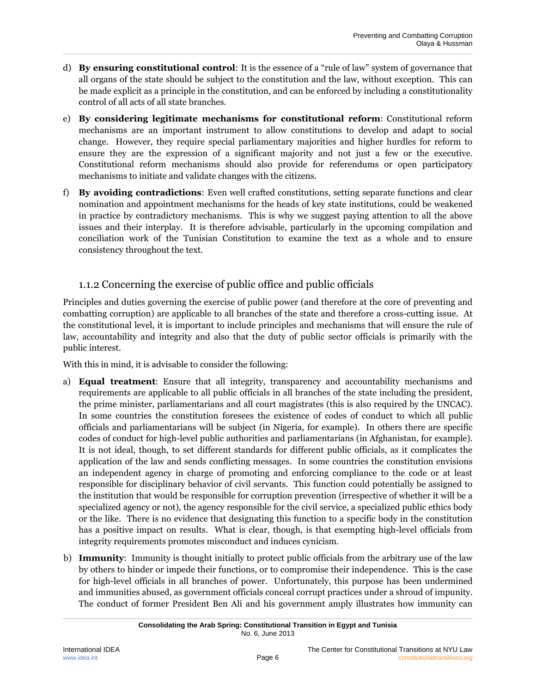- d) **By ensuring constitutional control**: It is the essence of a "rule of law" system of governance that all organs of the state should be subject to the constitution and the law, without exception. This can be made explicit as a principle in the constitution, and can be enforced by including a constitutionality control of all acts of all state branches.
- e) **By considering legitimate mechanisms for constitutional reform**: Constitutional reform mechanisms are an important instrument to allow constitutions to develop and adapt to social change. However, they require special parliamentary majorities and higher hurdles for reform to ensure they are the expression of a significant majority and not just a few or the executive. Constitutional reform mechanisms should also provide for referendums or open participatory mechanisms to initiate and validate changes with the citizens.
- f) **By avoiding contradictions**: Even well crafted constitutions, setting separate functions and clear nomination and appointment mechanisms for the heads of key state institutions, could be weakened in practice by contradictory mechanisms. This is why we suggest paying attention to all the above issues and their interplay. It is therefore advisable, particularly in the upcoming compilation and conciliation work of the Tunisian Constitution to examine the text as a whole and to ensure consistency throughout the text.

### 1.1.2 Concerning the exercise of public office and public officials

<span id="page-11-0"></span>Principles and duties governing the exercise of public power (and therefore at the core of preventing and combatting corruption) are applicable to all branches of the state and therefore a cross-cutting issue. At the constitutional level, it is important to include principles and mechanisms that will ensure the rule of law, accountability and integrity and also that the duty of public sector officials is primarily with the public interest.

With this in mind, it is advisable to consider the following:

- a) **Equal treatment**: Ensure that all integrity, transparency and accountability mechanisms and requirements are applicable to all public officials in all branches of the state including the president, the prime minister, parliamentarians and all court magistrates (this is also required by the UNCAC). In some countries the constitution foresees the existence of codes of conduct to which all public officials and parliamentarians will be subject (in Nigeria, for example). In others there are specific codes of conduct for high-level public authorities and parliamentarians (in Afghanistan, for example). It is not ideal, though, to set different standards for different public officials, as it complicates the application of the law and sends conflicting messages. In some countries the constitution envisions an independent agency in charge of promoting and enforcing compliance to the code or at least responsible for disciplinary behavior of civil servants. This function could potentially be assigned to the institution that would be responsible for corruption prevention (irrespective of whether it will be a specialized agency or not), the agency responsible for the civil service, a specialized public ethics body or the like. There is no evidence that designating this function to a specific body in the constitution has a positive impact on results. What is clear, though, is that exempting high-level officials from integrity requirements promotes misconduct and induces cynicism.
- b) **Immunity**: Immunity is thought initially to protect public officials from the arbitrary use of the law by others to hinder or impede their functions, or to compromise their independence. This is the case for high-level officials in all branches of power. Unfortunately, this purpose has been undermined and immunities abused, as government officials conceal corrupt practices under a shroud of impunity. The conduct of former President Ben Ali and his government amply illustrates how immunity can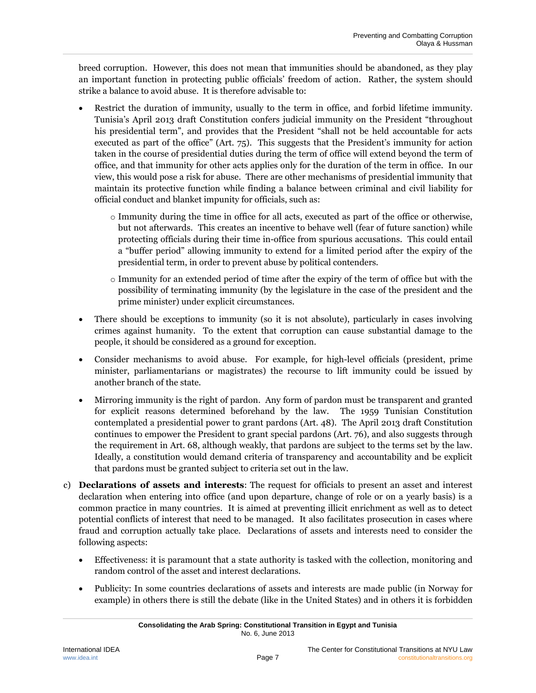breed corruption. However, this does not mean that immunities should be abandoned, as they play an important function in protecting public officials' freedom of action. Rather, the system should strike a balance to avoid abuse. It is therefore advisable to:

- Restrict the duration of immunity, usually to the term in office, and forbid lifetime immunity. Tunisia's April 2013 draft Constitution confers judicial immunity on the President "throughout his presidential term", and provides that the President "shall not be held accountable for acts executed as part of the office" (Art. 75). This suggests that the President's immunity for action taken in the course of presidential duties during the term of office will extend beyond the term of office, and that immunity for other acts applies only for the duration of the term in office. In our view, this would pose a risk for abuse. There are other mechanisms of presidential immunity that maintain its protective function while finding a balance between criminal and civil liability for official conduct and blanket impunity for officials, such as:
	- o Immunity during the time in office for all acts, executed as part of the office or otherwise, but not afterwards. This creates an incentive to behave well (fear of future sanction) while protecting officials during their time in-office from spurious accusations. This could entail a "buffer period" allowing immunity to extend for a limited period after the expiry of the presidential term, in order to prevent abuse by political contenders.
	- o Immunity for an extended period of time after the expiry of the term of office but with the possibility of terminating immunity (by the legislature in the case of the president and the prime minister) under explicit circumstances.
- There should be exceptions to immunity (so it is not absolute), particularly in cases involving crimes against humanity. To the extent that corruption can cause substantial damage to the people, it should be considered as a ground for exception.
- Consider mechanisms to avoid abuse. For example, for high-level officials (president, prime minister, parliamentarians or magistrates) the recourse to lift immunity could be issued by another branch of the state.
- Mirroring immunity is the right of pardon. Any form of pardon must be transparent and granted for explicit reasons determined beforehand by the law. The 1959 Tunisian Constitution contemplated a presidential power to grant pardons (Art. 48). The April 2013 draft Constitution continues to empower the President to grant special pardons (Art. 76), and also suggests through the requirement in Art. 68, although weakly, that pardons are subject to the terms set by the law. Ideally, a constitution would demand criteria of transparency and accountability and be explicit that pardons must be granted subject to criteria set out in the law.
- c) **Declarations of assets and interests**: The request for officials to present an asset and interest declaration when entering into office (and upon departure, change of role or on a yearly basis) is a common practice in many countries. It is aimed at preventing illicit enrichment as well as to detect potential conflicts of interest that need to be managed. It also facilitates prosecution in cases where fraud and corruption actually take place. Declarations of assets and interests need to consider the following aspects:
	- Effectiveness: it is paramount that a state authority is tasked with the collection, monitoring and random control of the asset and interest declarations.
	- Publicity: In some countries declarations of assets and interests are made public (in Norway for example) in others there is still the debate (like in the United States) and in others it is forbidden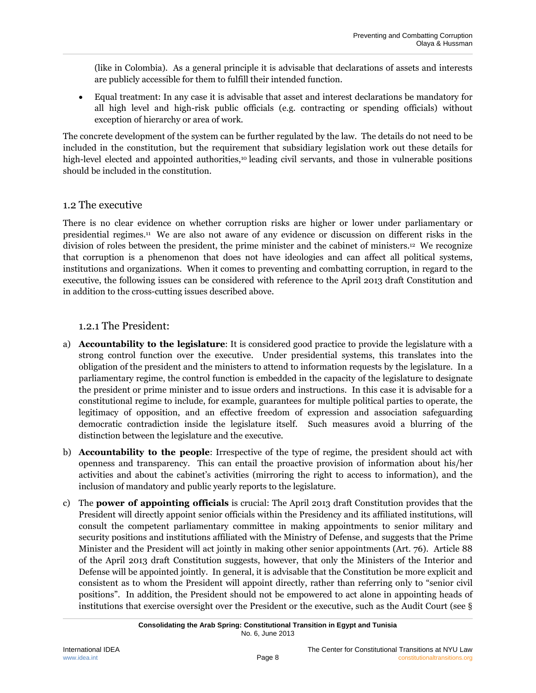(like in Colombia). As a general principle it is advisable that declarations of assets and interests are publicly accessible for them to fulfill their intended function.

 Equal treatment: In any case it is advisable that asset and interest declarations be mandatory for all high level and high-risk public officials (e.g. contracting or spending officials) without exception of hierarchy or area of work.

The concrete development of the system can be further regulated by the law. The details do not need to be included in the constitution, but the requirement that subsidiary legislation work out these details for high-level elected and appointed authorities,<sup>10</sup> leading civil servants, and those in vulnerable positions should be included in the constitution.

#### <span id="page-13-0"></span>1.2 The executive

There is no clear evidence on whether corruption risks are higher or lower under parliamentary or presidential regimes.<sup>11</sup> We are also not aware of any evidence or discussion on different risks in the division of roles between the president, the prime minister and the cabinet of ministers.<sup>12</sup> We recognize that corruption is a phenomenon that does not have ideologies and can affect all political systems, institutions and organizations. When it comes to preventing and combatting corruption, in regard to the executive, the following issues can be considered with reference to the April 2013 draft Constitution and in addition to the cross-cutting issues described above.

#### <span id="page-13-1"></span>1.2.1 The President:

- a) **Accountability to the legislature**: It is considered good practice to provide the legislature with a strong control function over the executive. Under presidential systems, this translates into the obligation of the president and the ministers to attend to information requests by the legislature. In a parliamentary regime, the control function is embedded in the capacity of the legislature to designate the president or prime minister and to issue orders and instructions. In this case it is advisable for a constitutional regime to include, for example, guarantees for multiple political parties to operate, the legitimacy of opposition, and an effective freedom of expression and association safeguarding democratic contradiction inside the legislature itself. Such measures avoid a blurring of the distinction between the legislature and the executive.
- b) **Accountability to the people**: Irrespective of the type of regime, the president should act with openness and transparency. This can entail the proactive provision of information about his/her activities and about the cabinet's activities (mirroring the right to access to information), and the inclusion of mandatory and public yearly reports to the legislature.
- c) The **power of appointing officials** is crucial: The April 2013 draft Constitution provides that the President will directly appoint senior officials within the Presidency and its affiliated institutions, will consult the competent parliamentary committee in making appointments to senior military and security positions and institutions affiliated with the Ministry of Defense, and suggests that the Prime Minister and the President will act jointly in making other senior appointments (Art. 76). Article 88 of the April 2013 draft Constitution suggests, however, that only the Ministers of the Interior and Defense will be appointed jointly. In general, it is advisable that the Constitution be more explicit and consistent as to whom the President will appoint directly, rather than referring only to "senior civil positions". In addition, the President should not be empowered to act alone in appointing heads of institutions that exercise oversight over the President or the executive, such as the Audit Court (see §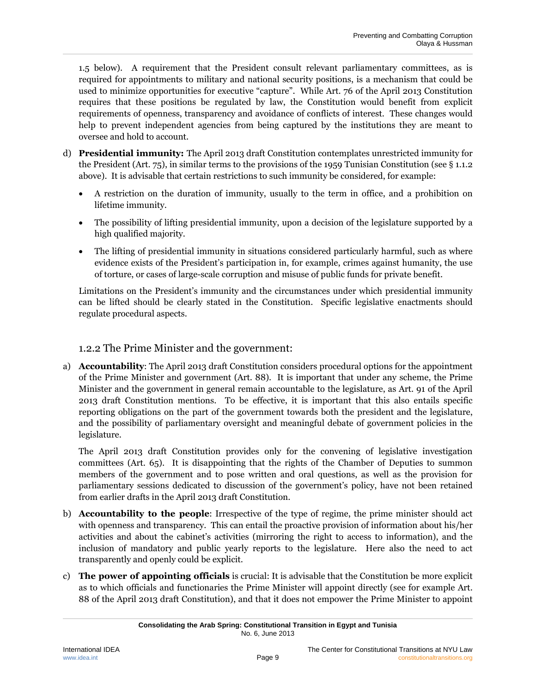1.5 below). A requirement that the President consult relevant parliamentary committees, as is required for appointments to military and national security positions, is a mechanism that could be used to minimize opportunities for executive "capture". While Art. 76 of the April 2013 Constitution requires that these positions be regulated by law, the Constitution would benefit from explicit requirements of openness, transparency and avoidance of conflicts of interest. These changes would help to prevent independent agencies from being captured by the institutions they are meant to oversee and hold to account.

- d) **Presidential immunity:** The April 2013 draft Constitution contemplates unrestricted immunity for the President (Art. 75), in similar terms to the provisions of the 1959 Tunisian Constitution (see § 1.1.2 above). It is advisable that certain restrictions to such immunity be considered, for example:
	- A restriction on the duration of immunity, usually to the term in office, and a prohibition on lifetime immunity.
	- The possibility of lifting presidential immunity, upon a decision of the legislature supported by a high qualified majority.
	- The lifting of presidential immunity in situations considered particularly harmful, such as where evidence exists of the President's participation in, for example, crimes against humanity, the use of torture, or cases of large-scale corruption and misuse of public funds for private benefit.

Limitations on the President's immunity and the circumstances under which presidential immunity can be lifted should be clearly stated in the Constitution. Specific legislative enactments should regulate procedural aspects.

### 1.2.2 The Prime Minister and the government:

<span id="page-14-0"></span>a) **Accountability**: The April 2013 draft Constitution considers procedural options for the appointment of the Prime Minister and government (Art. 88). It is important that under any scheme, the Prime Minister and the government in general remain accountable to the legislature, as Art. 91 of the April 2013 draft Constitution mentions. To be effective, it is important that this also entails specific reporting obligations on the part of the government towards both the president and the legislature, and the possibility of parliamentary oversight and meaningful debate of government policies in the legislature.

The April 2013 draft Constitution provides only for the convening of legislative investigation committees (Art. 65). It is disappointing that the rights of the Chamber of Deputies to summon members of the government and to pose written and oral questions, as well as the provision for parliamentary sessions dedicated to discussion of the government's policy, have not been retained from earlier drafts in the April 2013 draft Constitution.

- b) **Accountability to the people**: Irrespective of the type of regime, the prime minister should act with openness and transparency. This can entail the proactive provision of information about his/her activities and about the cabinet's activities (mirroring the right to access to information), and the inclusion of mandatory and public yearly reports to the legislature. Here also the need to act transparently and openly could be explicit.
- c) **The power of appointing officials** is crucial: It is advisable that the Constitution be more explicit as to which officials and functionaries the Prime Minister will appoint directly (see for example Art. 88 of the April 2013 draft Constitution), and that it does not empower the Prime Minister to appoint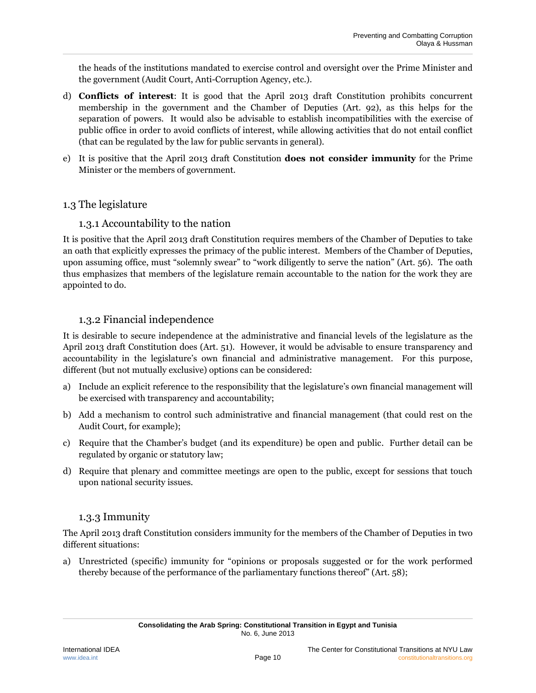the heads of the institutions mandated to exercise control and oversight over the Prime Minister and the government (Audit Court, Anti-Corruption Agency, etc.).

- d) **Conflicts of interest**: It is good that the April 2013 draft Constitution prohibits concurrent membership in the government and the Chamber of Deputies (Art. 92), as this helps for the separation of powers. It would also be advisable to establish incompatibilities with the exercise of public office in order to avoid conflicts of interest, while allowing activities that do not entail conflict (that can be regulated by the law for public servants in general).
- e) It is positive that the April 2013 draft Constitution **does not consider immunity** for the Prime Minister or the members of government.

#### <span id="page-15-0"></span>1.3 The legislature

#### 1.3.1 Accountability to the nation

It is positive that the April 2013 draft Constitution requires members of the Chamber of Deputies to take an oath that explicitly expresses the primacy of the public interest. Members of the Chamber of Deputies, upon assuming office, must "solemnly swear" to "work diligently to serve the nation" (Art. 56). The oath thus emphasizes that members of the legislature remain accountable to the nation for the work they are appointed to do.

#### 1.3.2 Financial independence

<span id="page-15-1"></span>It is desirable to secure independence at the administrative and financial levels of the legislature as the April 2013 draft Constitution does (Art. 51). However, it would be advisable to ensure transparency and accountability in the legislature's own financial and administrative management. For this purpose, different (but not mutually exclusive) options can be considered:

- a) Include an explicit reference to the responsibility that the legislature's own financial management will be exercised with transparency and accountability;
- b) Add a mechanism to control such administrative and financial management (that could rest on the Audit Court, for example);
- c) Require that the Chamber's budget (and its expenditure) be open and public. Further detail can be regulated by organic or statutory law;
- d) Require that plenary and committee meetings are open to the public, except for sessions that touch upon national security issues.

#### 1.3.3 Immunity

<span id="page-15-2"></span>The April 2013 draft Constitution considers immunity for the members of the Chamber of Deputies in two different situations:

a) Unrestricted (specific) immunity for "opinions or proposals suggested or for the work performed thereby because of the performance of the parliamentary functions thereof" (Art. 58);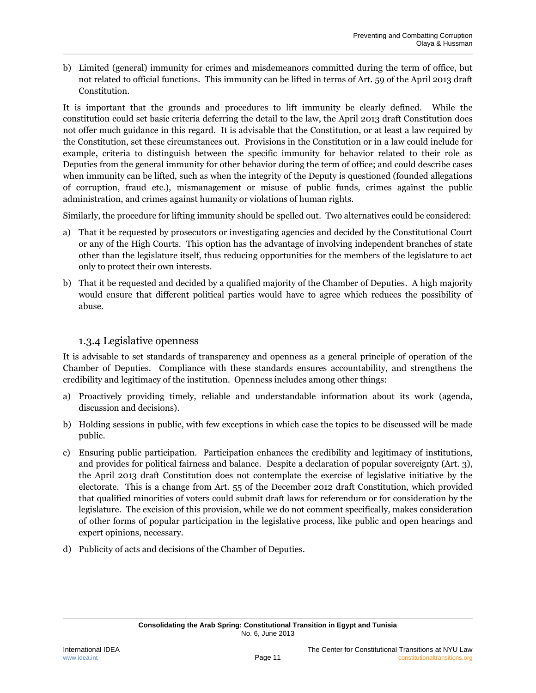b) Limited (general) immunity for crimes and misdemeanors committed during the term of office, but not related to official functions. This immunity can be lifted in terms of Art. 59 of the April 2013 draft Constitution.

It is important that the grounds and procedures to lift immunity be clearly defined. While the constitution could set basic criteria deferring the detail to the law, the April 2013 draft Constitution does not offer much guidance in this regard. It is advisable that the Constitution, or at least a law required by the Constitution, set these circumstances out. Provisions in the Constitution or in a law could include for example, criteria to distinguish between the specific immunity for behavior related to their role as Deputies from the general immunity for other behavior during the term of office; and could describe cases when immunity can be lifted, such as when the integrity of the Deputy is questioned (founded allegations of corruption, fraud etc.), mismanagement or misuse of public funds, crimes against the public administration, and crimes against humanity or violations of human rights.

Similarly, the procedure for lifting immunity should be spelled out. Two alternatives could be considered:

- a) That it be requested by prosecutors or investigating agencies and decided by the Constitutional Court or any of the High Courts. This option has the advantage of involving independent branches of state other than the legislature itself, thus reducing opportunities for the members of the legislature to act only to protect their own interests.
- b) That it be requested and decided by a qualified majority of the Chamber of Deputies. A high majority would ensure that different political parties would have to agree which reduces the possibility of abuse.

#### 1.3.4 Legislative openness

<span id="page-16-0"></span>It is advisable to set standards of transparency and openness as a general principle of operation of the Chamber of Deputies. Compliance with these standards ensures accountability, and strengthens the credibility and legitimacy of the institution. Openness includes among other things:

- a) Proactively providing timely, reliable and understandable information about its work (agenda, discussion and decisions).
- b) Holding sessions in public, with few exceptions in which case the topics to be discussed will be made public.
- c) Ensuring public participation. Participation enhances the credibility and legitimacy of institutions, and provides for political fairness and balance. Despite a declaration of popular sovereignty (Art. 3), the April 2013 draft Constitution does not contemplate the exercise of legislative initiative by the electorate. This is a change from Art. 55 of the December 2012 draft Constitution, which provided that qualified minorities of voters could submit draft laws for referendum or for consideration by the legislature. The excision of this provision, while we do not comment specifically, makes consideration of other forms of popular participation in the legislative process, like public and open hearings and expert opinions, necessary.
- d) Publicity of acts and decisions of the Chamber of Deputies.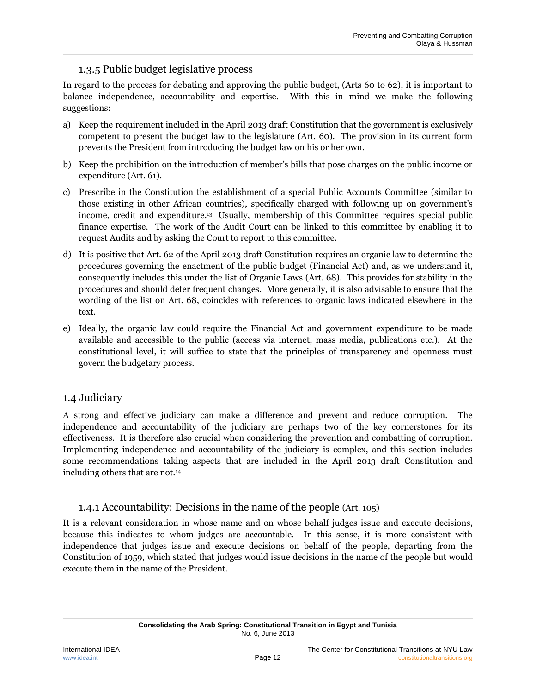### 1.3.5 Public budget legislative process

In regard to the process for debating and approving the public budget, (Arts 60 to 62), it is important to balance independence, accountability and expertise. With this in mind we make the following suggestions:

- a) Keep the requirement included in the April 2013 draft Constitution that the government is exclusively competent to present the budget law to the legislature (Art. 60). The provision in its current form prevents the President from introducing the budget law on his or her own.
- b) Keep the prohibition on the introduction of member's bills that pose charges on the public income or expenditure (Art. 61).
- c) Prescribe in the Constitution the establishment of a special Public Accounts Committee (similar to those existing in other African countries), specifically charged with following up on government's income, credit and expenditure.<sup>13</sup> Usually, membership of this Committee requires special public finance expertise. The work of the Audit Court can be linked to this committee by enabling it to request Audits and by asking the Court to report to this committee.
- d) It is positive that Art. 62 of the April 2013 draft Constitution requires an organic law to determine the procedures governing the enactment of the public budget (Financial Act) and, as we understand it, consequently includes this under the list of Organic Laws (Art. 68). This provides for stability in the procedures and should deter frequent changes. More generally, it is also advisable to ensure that the wording of the list on Art. 68, coincides with references to organic laws indicated elsewhere in the text.
- e) Ideally, the organic law could require the Financial Act and government expenditure to be made available and accessible to the public (access via internet, mass media, publications etc.). At the constitutional level, it will suffice to state that the principles of transparency and openness must govern the budgetary process.

#### <span id="page-17-0"></span>1.4 Judiciary

A strong and effective judiciary can make a difference and prevent and reduce corruption. The independence and accountability of the judiciary are perhaps two of the key cornerstones for its effectiveness. It is therefore also crucial when considering the prevention and combatting of corruption. Implementing independence and accountability of the judiciary is complex, and this section includes some recommendations taking aspects that are included in the April 2013 draft Constitution and including others that are not.<sup>14</sup>

#### 1.4.1 Accountability: Decisions in the name of the people (Art. 105)

<span id="page-17-1"></span>It is a relevant consideration in whose name and on whose behalf judges issue and execute decisions, because this indicates to whom judges are accountable. In this sense, it is more consistent with independence that judges issue and execute decisions on behalf of the people, departing from the Constitution of 1959, which stated that judges would issue decisions in the name of the people but would execute them in the name of the President.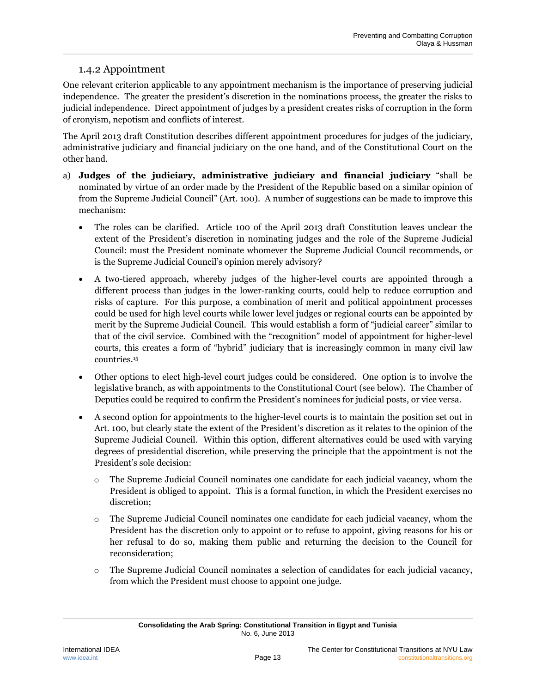### 1.4.2 Appointment

<span id="page-18-0"></span>One relevant criterion applicable to any appointment mechanism is the importance of preserving judicial independence. The greater the president's discretion in the nominations process, the greater the risks to judicial independence. Direct appointment of judges by a president creates risks of corruption in the form of cronyism, nepotism and conflicts of interest.

The April 2013 draft Constitution describes different appointment procedures for judges of the judiciary, administrative judiciary and financial judiciary on the one hand, and of the Constitutional Court on the other hand.

- a) **Judges of the judiciary, administrative judiciary and financial judiciary** "shall be nominated by virtue of an order made by the President of the Republic based on a similar opinion of from the Supreme Judicial Council" (Art. 100). A number of suggestions can be made to improve this mechanism:
	- The roles can be clarified. Article 100 of the April 2013 draft Constitution leaves unclear the extent of the President's discretion in nominating judges and the role of the Supreme Judicial Council: must the President nominate whomever the Supreme Judicial Council recommends, or is the Supreme Judicial Council's opinion merely advisory?
	- A two-tiered approach, whereby judges of the higher-level courts are appointed through a different process than judges in the lower-ranking courts, could help to reduce corruption and risks of capture. For this purpose, a combination of merit and political appointment processes could be used for high level courts while lower level judges or regional courts can be appointed by merit by the Supreme Judicial Council. This would establish a form of "judicial career" similar to that of the civil service. Combined with the "recognition" model of appointment for higher-level courts, this creates a form of "hybrid" judiciary that is increasingly common in many civil law countries.<sup>15</sup>
	- Other options to elect high-level court judges could be considered. One option is to involve the legislative branch, as with appointments to the Constitutional Court (see below). The Chamber of Deputies could be required to confirm the President's nominees for judicial posts, or vice versa.
	- A second option for appointments to the higher-level courts is to maintain the position set out in Art. 100, but clearly state the extent of the President's discretion as it relates to the opinion of the Supreme Judicial Council. Within this option, different alternatives could be used with varying degrees of presidential discretion, while preserving the principle that the appointment is not the President's sole decision:
		- o The Supreme Judicial Council nominates one candidate for each judicial vacancy, whom the President is obliged to appoint. This is a formal function, in which the President exercises no discretion;
		- o The Supreme Judicial Council nominates one candidate for each judicial vacancy, whom the President has the discretion only to appoint or to refuse to appoint, giving reasons for his or her refusal to do so, making them public and returning the decision to the Council for reconsideration;
		- o The Supreme Judicial Council nominates a selection of candidates for each judicial vacancy, from which the President must choose to appoint one judge.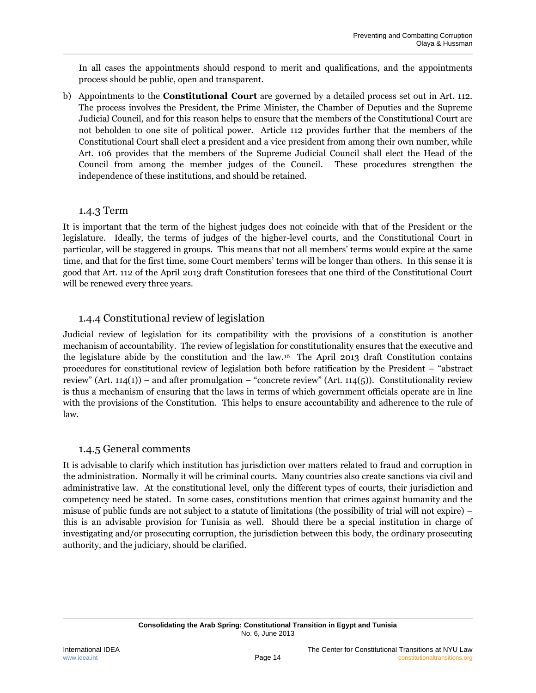In all cases the appointments should respond to merit and qualifications, and the appointments process should be public, open and transparent.

b) Appointments to the **Constitutional Court** are governed by a detailed process set out in Art. 112. The process involves the President, the Prime Minister, the Chamber of Deputies and the Supreme Judicial Council, and for this reason helps to ensure that the members of the Constitutional Court are not beholden to one site of political power. Article 112 provides further that the members of the Constitutional Court shall elect a president and a vice president from among their own number, while Art. 106 provides that the members of the Supreme Judicial Council shall elect the Head of the Council from among the member judges of the Council. These procedures strengthen the independence of these institutions, and should be retained.

#### 1.4.3 Term

<span id="page-19-0"></span>It is important that the term of the highest judges does not coincide with that of the President or the legislature. Ideally, the terms of judges of the higher-level courts, and the Constitutional Court in particular, will be staggered in groups. This means that not all members' terms would expire at the same time, and that for the first time, some Court members' terms will be longer than others. In this sense it is good that Art. 112 of the April 2013 draft Constitution foresees that one third of the Constitutional Court will be renewed every three years.

#### 1.4.4 Constitutional review of legislation

<span id="page-19-1"></span>Judicial review of legislation for its compatibility with the provisions of a constitution is another mechanism of accountability. The review of legislation for constitutionality ensures that the executive and the legislature abide by the constitution and the law. <sup>16</sup> The April 2013 draft Constitution contains procedures for constitutional review of legislation both before ratification by the President – "abstract review" (Art. 114(1)) – and after promulgation – "concrete review" (Art. 114(5)). Constitutionality review is thus a mechanism of ensuring that the laws in terms of which government officials operate are in line with the provisions of the Constitution. This helps to ensure accountability and adherence to the rule of law.

#### 1.4.5 General comments

<span id="page-19-2"></span>It is advisable to clarify which institution has jurisdiction over matters related to fraud and corruption in the administration. Normally it will be criminal courts. Many countries also create sanctions via civil and administrative law. At the constitutional level, only the different types of courts, their jurisdiction and competency need be stated. In some cases, constitutions mention that crimes against humanity and the misuse of public funds are not subject to a statute of limitations (the possibility of trial will not expire) – this is an advisable provision for Tunisia as well. Should there be a special institution in charge of investigating and/or prosecuting corruption, the jurisdiction between this body, the ordinary prosecuting authority, and the judiciary, should be clarified.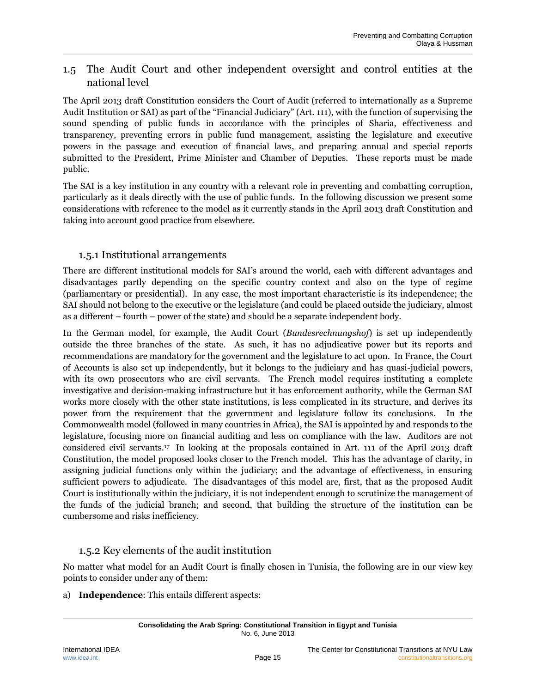# <span id="page-20-0"></span>1.5 The Audit Court and other independent oversight and control entities at the national level

The April 2013 draft Constitution considers the Court of Audit (referred to internationally as a Supreme Audit Institution or SAI) as part of the "Financial Judiciary" (Art. 111), with the function of supervising the sound spending of public funds in accordance with the principles of Sharia, effectiveness and transparency, preventing errors in public fund management, assisting the legislature and executive powers in the passage and execution of financial laws, and preparing annual and special reports submitted to the President, Prime Minister and Chamber of Deputies. These reports must be made public.

The SAI is a key institution in any country with a relevant role in preventing and combatting corruption, particularly as it deals directly with the use of public funds. In the following discussion we present some considerations with reference to the model as it currently stands in the April 2013 draft Constitution and taking into account good practice from elsewhere.

#### 1.5.1 Institutional arrangements

<span id="page-20-1"></span>There are different institutional models for SAI's around the world, each with different advantages and disadvantages partly depending on the specific country context and also on the type of regime (parliamentary or presidential). In any case, the most important characteristic is its independence; the SAI should not belong to the executive or the legislature (and could be placed outside the judiciary, almost as a different – fourth – power of the state) and should be a separate independent body.

In the German model, for example, the Audit Court (*Bundesrechnungshof*) is set up independently outside the three branches of the state. As such, it has no adjudicative power but its reports and recommendations are mandatory for the government and the legislature to act upon. In France, the Court of Accounts is also set up independently, but it belongs to the judiciary and has quasi-judicial powers, with its own prosecutors who are civil servants. The French model requires instituting a complete investigative and decision-making infrastructure but it has enforcement authority, while the German SAI works more closely with the other state institutions, is less complicated in its structure, and derives its power from the requirement that the government and legislature follow its conclusions. In the Commonwealth model (followed in many countries in Africa), the SAI is appointed by and responds to the legislature, focusing more on financial auditing and less on compliance with the law. Auditors are not considered civil servants.<sup>17</sup> In looking at the proposals contained in Art. 111 of the April 2013 draft Constitution, the model proposed looks closer to the French model. This has the advantage of clarity, in assigning judicial functions only within the judiciary; and the advantage of effectiveness, in ensuring sufficient powers to adjudicate. The disadvantages of this model are, first, that as the proposed Audit Court is institutionally within the judiciary, it is not independent enough to scrutinize the management of the funds of the judicial branch; and second, that building the structure of the institution can be cumbersome and risks inefficiency.

### 1.5.2 Key elements of the audit institution

<span id="page-20-2"></span>No matter what model for an Audit Court is finally chosen in Tunisia, the following are in our view key points to consider under any of them:

a) **Independence**: This entails different aspects: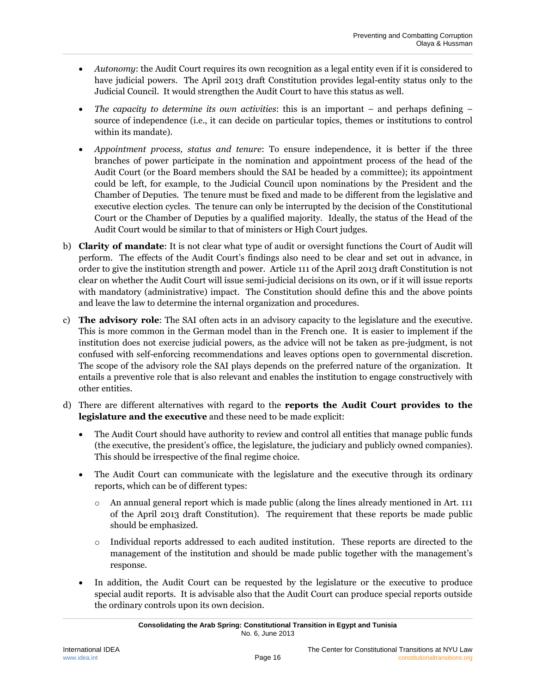- *Autonomy*: the Audit Court requires its own recognition as a legal entity even if it is considered to have judicial powers. The April 2013 draft Constitution provides legal-entity status only to the Judicial Council. It would strengthen the Audit Court to have this status as well.
- *The capacity to determine its own activities*: this is an important and perhaps defining source of independence (i.e., it can decide on particular topics, themes or institutions to control within its mandate).
- *Appointment process, status and tenure*: To ensure independence, it is better if the three branches of power participate in the nomination and appointment process of the head of the Audit Court (or the Board members should the SAI be headed by a committee); its appointment could be left, for example, to the Judicial Council upon nominations by the President and the Chamber of Deputies. The tenure must be fixed and made to be different from the legislative and executive election cycles. The tenure can only be interrupted by the decision of the Constitutional Court or the Chamber of Deputies by a qualified majority. Ideally, the status of the Head of the Audit Court would be similar to that of ministers or High Court judges.
- b) **Clarity of mandate**: It is not clear what type of audit or oversight functions the Court of Audit will perform. The effects of the Audit Court's findings also need to be clear and set out in advance, in order to give the institution strength and power. Article 111 of the April 2013 draft Constitution is not clear on whether the Audit Court will issue semi-judicial decisions on its own, or if it will issue reports with mandatory (administrative) impact. The Constitution should define this and the above points and leave the law to determine the internal organization and procedures.
- c) **The advisory role**: The SAI often acts in an advisory capacity to the legislature and the executive. This is more common in the German model than in the French one. It is easier to implement if the institution does not exercise judicial powers, as the advice will not be taken as pre-judgment, is not confused with self-enforcing recommendations and leaves options open to governmental discretion. The scope of the advisory role the SAI plays depends on the preferred nature of the organization. It entails a preventive role that is also relevant and enables the institution to engage constructively with other entities.
- d) There are different alternatives with regard to the **reports the Audit Court provides to the legislature and the executive** and these need to be made explicit:
	- The Audit Court should have authority to review and control all entities that manage public funds (the executive, the president's office, the legislature, the judiciary and publicly owned companies). This should be irrespective of the final regime choice.
	- The Audit Court can communicate with the legislature and the executive through its ordinary reports, which can be of different types:
		- $\circ$  An annual general report which is made public (along the lines already mentioned in Art. 111 of the April 2013 draft Constitution). The requirement that these reports be made public should be emphasized.
		- o Individual reports addressed to each audited institution. These reports are directed to the management of the institution and should be made public together with the management's response.
	- In addition, the Audit Court can be requested by the legislature or the executive to produce special audit reports. It is advisable also that the Audit Court can produce special reports outside the ordinary controls upon its own decision.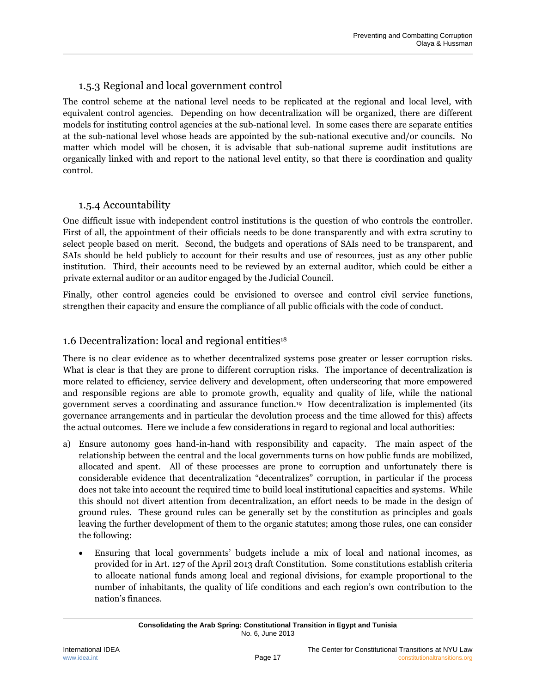## 1.5.3 Regional and local government control

<span id="page-22-0"></span>The control scheme at the national level needs to be replicated at the regional and local level, with equivalent control agencies. Depending on how decentralization will be organized, there are different models for instituting control agencies at the sub-national level. In some cases there are separate entities at the sub-national level whose heads are appointed by the sub-national executive and/or councils. No matter which model will be chosen, it is advisable that sub-national supreme audit institutions are organically linked with and report to the national level entity, so that there is coordination and quality control.

#### 1.5.4 Accountability

<span id="page-22-1"></span>One difficult issue with independent control institutions is the question of who controls the controller. First of all, the appointment of their officials needs to be done transparently and with extra scrutiny to select people based on merit. Second, the budgets and operations of SAIs need to be transparent, and SAIs should be held publicly to account for their results and use of resources, just as any other public institution. Third, their accounts need to be reviewed by an external auditor, which could be either a private external auditor or an auditor engaged by the Judicial Council.

Finally, other control agencies could be envisioned to oversee and control civil service functions, strengthen their capacity and ensure the compliance of all public officials with the code of conduct.

#### <span id="page-22-2"></span>1.6 Decentralization: local and regional entities<sup>18</sup>

There is no clear evidence as to whether decentralized systems pose greater or lesser corruption risks. What is clear is that they are prone to different corruption risks. The importance of decentralization is more related to efficiency, service delivery and development, often underscoring that more empowered and responsible regions are able to promote growth, equality and quality of life, while the national government serves a coordinating and assurance function.<sup>19</sup> How decentralization is implemented (its governance arrangements and in particular the devolution process and the time allowed for this) affects the actual outcomes. Here we include a few considerations in regard to regional and local authorities:

- a) Ensure autonomy goes hand-in-hand with responsibility and capacity. The main aspect of the relationship between the central and the local governments turns on how public funds are mobilized, allocated and spent. All of these processes are prone to corruption and unfortunately there is considerable evidence that decentralization "decentralizes" corruption, in particular if the process does not take into account the required time to build local institutional capacities and systems. While this should not divert attention from decentralization, an effort needs to be made in the design of ground rules. These ground rules can be generally set by the constitution as principles and goals leaving the further development of them to the organic statutes; among those rules, one can consider the following:
	- Ensuring that local governments' budgets include a mix of local and national incomes, as provided for in Art. 127 of the April 2013 draft Constitution. Some constitutions establish criteria to allocate national funds among local and regional divisions, for example proportional to the number of inhabitants, the quality of life conditions and each region's own contribution to the nation's finances.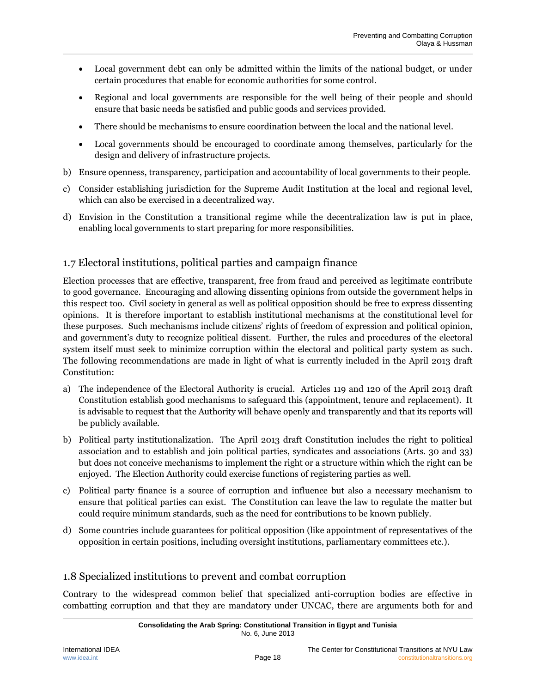- Local government debt can only be admitted within the limits of the national budget, or under certain procedures that enable for economic authorities for some control.
- Regional and local governments are responsible for the well being of their people and should ensure that basic needs be satisfied and public goods and services provided.
- There should be mechanisms to ensure coordination between the local and the national level.
- Local governments should be encouraged to coordinate among themselves, particularly for the design and delivery of infrastructure projects.
- b) Ensure openness, transparency, participation and accountability of local governments to their people.
- c) Consider establishing jurisdiction for the Supreme Audit Institution at the local and regional level, which can also be exercised in a decentralized way.
- d) Envision in the Constitution a transitional regime while the decentralization law is put in place, enabling local governments to start preparing for more responsibilities.

### <span id="page-23-0"></span>1.7 Electoral institutions, political parties and campaign finance

Election processes that are effective, transparent, free from fraud and perceived as legitimate contribute to good governance. Encouraging and allowing dissenting opinions from outside the government helps in this respect too. Civil society in general as well as political opposition should be free to express dissenting opinions. It is therefore important to establish institutional mechanisms at the constitutional level for these purposes. Such mechanisms include citizens' rights of freedom of expression and political opinion, and government's duty to recognize political dissent. Further, the rules and procedures of the electoral system itself must seek to minimize corruption within the electoral and political party system as such. The following recommendations are made in light of what is currently included in the April 2013 draft Constitution:

- a) The independence of the Electoral Authority is crucial. Articles 119 and 120 of the April 2013 draft Constitution establish good mechanisms to safeguard this (appointment, tenure and replacement). It is advisable to request that the Authority will behave openly and transparently and that its reports will be publicly available.
- b) Political party institutionalization. The April 2013 draft Constitution includes the right to political association and to establish and join political parties, syndicates and associations (Arts. 30 and 33) but does not conceive mechanisms to implement the right or a structure within which the right can be enjoyed. The Election Authority could exercise functions of registering parties as well.
- c) Political party finance is a source of corruption and influence but also a necessary mechanism to ensure that political parties can exist. The Constitution can leave the law to regulate the matter but could require minimum standards, such as the need for contributions to be known publicly.
- d) Some countries include guarantees for political opposition (like appointment of representatives of the opposition in certain positions, including oversight institutions, parliamentary committees etc.).

### <span id="page-23-1"></span>1.8 Specialized institutions to prevent and combat corruption

Contrary to the widespread common belief that specialized anti-corruption bodies are effective in combatting corruption and that they are mandatory under UNCAC, there are arguments both for and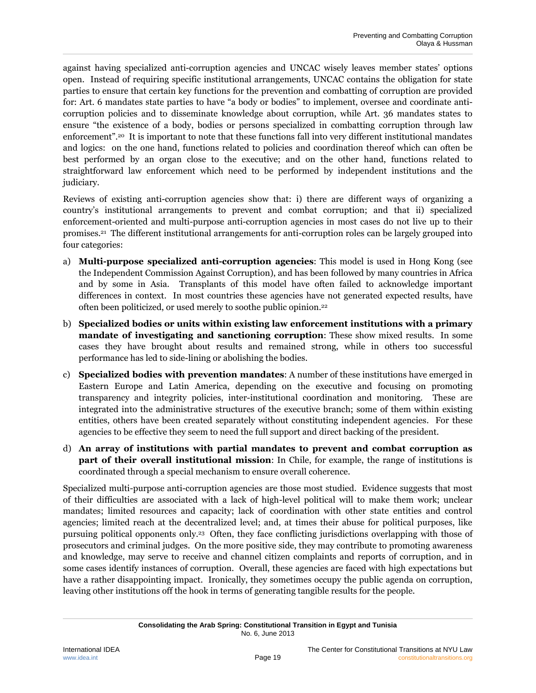against having specialized anti-corruption agencies and UNCAC wisely leaves member states' options open. Instead of requiring specific institutional arrangements, UNCAC contains the obligation for state parties to ensure that certain key functions for the prevention and combatting of corruption are provided for: Art. 6 mandates state parties to have "a body or bodies" to implement, oversee and coordinate anticorruption policies and to disseminate knowledge about corruption, while Art. 36 mandates states to ensure "the existence of a body, bodies or persons specialized in combatting corruption through law enforcement". <sup>20</sup> It is important to note that these functions fall into very different institutional mandates and logics: on the one hand, functions related to policies and coordination thereof which can often be best performed by an organ close to the executive; and on the other hand, functions related to straightforward law enforcement which need to be performed by independent institutions and the judiciary.

Reviews of existing anti-corruption agencies show that: i) there are different ways of organizing a country's institutional arrangements to prevent and combat corruption; and that ii) specialized enforcement-oriented and multi-purpose anti-corruption agencies in most cases do not live up to their promises.<sup>21</sup> The different institutional arrangements for anti-corruption roles can be largely grouped into four categories:

- a) **Multi-purpose specialized anti-corruption agencies**: This model is used in Hong Kong (see the Independent Commission Against Corruption), and has been followed by many countries in Africa and by some in Asia. Transplants of this model have often failed to acknowledge important differences in context. In most countries these agencies have not generated expected results, have often been politicized, or used merely to soothe public opinion. 22
- b) **Specialized bodies or units within existing law enforcement institutions with a primary mandate of investigating and sanctioning corruption**: These show mixed results. In some cases they have brought about results and remained strong, while in others too successful performance has led to side-lining or abolishing the bodies.
- c) **Specialized bodies with prevention mandates**: A number of these institutions have emerged in Eastern Europe and Latin America, depending on the executive and focusing on promoting transparency and integrity policies, inter-institutional coordination and monitoring. These are integrated into the administrative structures of the executive branch; some of them within existing entities, others have been created separately without constituting independent agencies. For these agencies to be effective they seem to need the full support and direct backing of the president.
- d) **An array of institutions with partial mandates to prevent and combat corruption as part of their overall institutional mission**: In Chile, for example, the range of institutions is coordinated through a special mechanism to ensure overall coherence.

Specialized multi-purpose anti-corruption agencies are those most studied. Evidence suggests that most of their difficulties are associated with a lack of high-level political will to make them work; unclear mandates; limited resources and capacity; lack of coordination with other state entities and control agencies; limited reach at the decentralized level; and, at times their abuse for political purposes, like pursuing political opponents only. <sup>23</sup> Often, they face conflicting jurisdictions overlapping with those of prosecutors and criminal judges. On the more positive side, they may contribute to promoting awareness and knowledge, may serve to receive and channel citizen complaints and reports of corruption, and in some cases identify instances of corruption. Overall, these agencies are faced with high expectations but have a rather disappointing impact. Ironically, they sometimes occupy the public agenda on corruption, leaving other institutions off the hook in terms of generating tangible results for the people.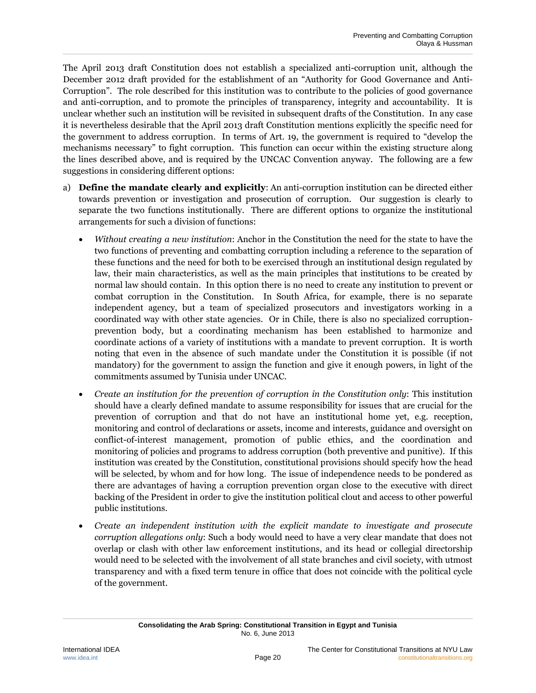The April 2013 draft Constitution does not establish a specialized anti-corruption unit, although the December 2012 draft provided for the establishment of an "Authority for Good Governance and Anti-Corruption". The role described for this institution was to contribute to the policies of good governance and anti-corruption, and to promote the principles of transparency, integrity and accountability. It is unclear whether such an institution will be revisited in subsequent drafts of the Constitution. In any case it is nevertheless desirable that the April 2013 draft Constitution mentions explicitly the specific need for the government to address corruption. In terms of Art. 19, the government is required to "develop the mechanisms necessary" to fight corruption. This function can occur within the existing structure along the lines described above, and is required by the UNCAC Convention anyway. The following are a few suggestions in considering different options:

- a) **Define the mandate clearly and explicitly**: An anti-corruption institution can be directed either towards prevention or investigation and prosecution of corruption. Our suggestion is clearly to separate the two functions institutionally. There are different options to organize the institutional arrangements for such a division of functions:
	- *Without creating a new institution*: Anchor in the Constitution the need for the state to have the two functions of preventing and combatting corruption including a reference to the separation of these functions and the need for both to be exercised through an institutional design regulated by law, their main characteristics, as well as the main principles that institutions to be created by normal law should contain. In this option there is no need to create any institution to prevent or combat corruption in the Constitution. In South Africa, for example, there is no separate independent agency, but a team of specialized prosecutors and investigators working in a coordinated way with other state agencies. Or in Chile, there is also no specialized corruptionprevention body, but a coordinating mechanism has been established to harmonize and coordinate actions of a variety of institutions with a mandate to prevent corruption. It is worth noting that even in the absence of such mandate under the Constitution it is possible (if not mandatory) for the government to assign the function and give it enough powers, in light of the commitments assumed by Tunisia under UNCAC.
	- *Create an institution for the prevention of corruption in the Constitution only*: This institution should have a clearly defined mandate to assume responsibility for issues that are crucial for the prevention of corruption and that do not have an institutional home yet, e.g. reception, monitoring and control of declarations or assets, income and interests, guidance and oversight on conflict-of-interest management, promotion of public ethics, and the coordination and monitoring of policies and programs to address corruption (both preventive and punitive). If this institution was created by the Constitution, constitutional provisions should specify how the head will be selected, by whom and for how long. The issue of independence needs to be pondered as there are advantages of having a corruption prevention organ close to the executive with direct backing of the President in order to give the institution political clout and access to other powerful public institutions.
	- *Create an independent institution with the explicit mandate to investigate and prosecute corruption allegations only*: Such a body would need to have a very clear mandate that does not overlap or clash with other law enforcement institutions, and its head or collegial directorship would need to be selected with the involvement of all state branches and civil society, with utmost transparency and with a fixed term tenure in office that does not coincide with the political cycle of the government.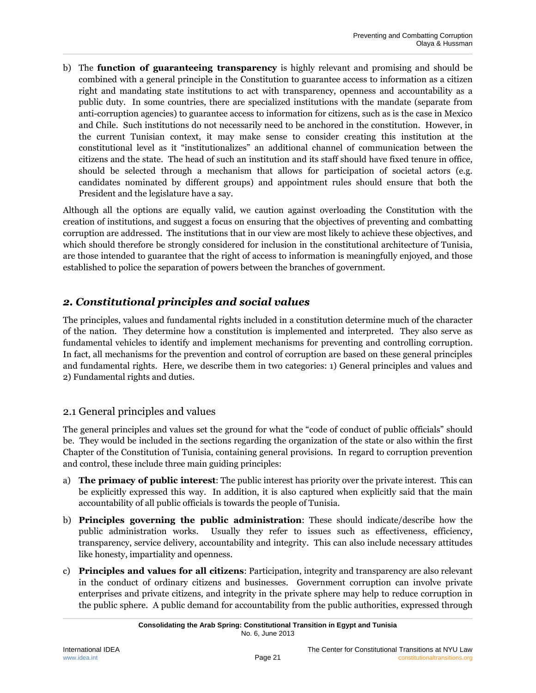b) The **function of guaranteeing transparency** is highly relevant and promising and should be combined with a general principle in the Constitution to guarantee access to information as a citizen right and mandating state institutions to act with transparency, openness and accountability as a public duty. In some countries, there are specialized institutions with the mandate (separate from anti-corruption agencies) to guarantee access to information for citizens, such as is the case in Mexico and Chile. Such institutions do not necessarily need to be anchored in the constitution. However, in the current Tunisian context, it may make sense to consider creating this institution at the constitutional level as it "institutionalizes" an additional channel of communication between the citizens and the state. The head of such an institution and its staff should have fixed tenure in office, should be selected through a mechanism that allows for participation of societal actors (e.g. candidates nominated by different groups) and appointment rules should ensure that both the President and the legislature have a say.

Although all the options are equally valid, we caution against overloading the Constitution with the creation of institutions, and suggest a focus on ensuring that the objectives of preventing and combatting corruption are addressed. The institutions that in our view are most likely to achieve these objectives, and which should therefore be strongly considered for inclusion in the constitutional architecture of Tunisia, are those intended to guarantee that the right of access to information is meaningfully enjoyed, and those established to police the separation of powers between the branches of government.

# <span id="page-26-0"></span>*2. Constitutional principles and social values*

The principles, values and fundamental rights included in a constitution determine much of the character of the nation. They determine how a constitution is implemented and interpreted. They also serve as fundamental vehicles to identify and implement mechanisms for preventing and controlling corruption. In fact, all mechanisms for the prevention and control of corruption are based on these general principles and fundamental rights. Here, we describe them in two categories: 1) General principles and values and 2) Fundamental rights and duties.

### <span id="page-26-1"></span>2.1 General principles and values

The general principles and values set the ground for what the "code of conduct of public officials" should be. They would be included in the sections regarding the organization of the state or also within the first Chapter of the Constitution of Tunisia, containing general provisions. In regard to corruption prevention and control, these include three main guiding principles:

- a) **The primacy of public interest**: The public interest has priority over the private interest. This can be explicitly expressed this way. In addition, it is also captured when explicitly said that the main accountability of all public officials is towards the people of Tunisia.
- b) **Principles governing the public administration**: These should indicate/describe how the public administration works. Usually they refer to issues such as effectiveness, efficiency, transparency, service delivery, accountability and integrity. This can also include necessary attitudes like honesty, impartiality and openness.
- c) **Principles and values for all citizens**: Participation, integrity and transparency are also relevant in the conduct of ordinary citizens and businesses. Government corruption can involve private enterprises and private citizens, and integrity in the private sphere may help to reduce corruption in the public sphere. A public demand for accountability from the public authorities, expressed through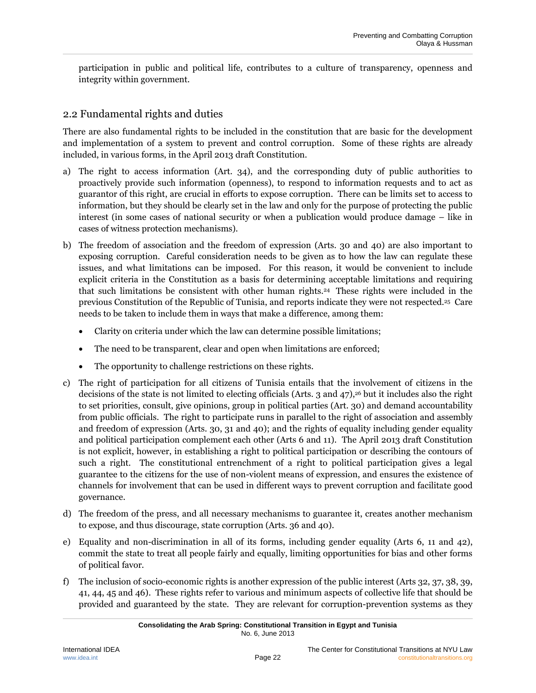participation in public and political life, contributes to a culture of transparency, openness and integrity within government.

#### <span id="page-27-0"></span>2.2 Fundamental rights and duties

There are also fundamental rights to be included in the constitution that are basic for the development and implementation of a system to prevent and control corruption. Some of these rights are already included, in various forms, in the April 2013 draft Constitution.

- a) The right to access information (Art. 34), and the corresponding duty of public authorities to proactively provide such information (openness), to respond to information requests and to act as guarantor of this right, are crucial in efforts to expose corruption. There can be limits set to access to information, but they should be clearly set in the law and only for the purpose of protecting the public interest (in some cases of national security or when a publication would produce damage – like in cases of witness protection mechanisms).
- b) The freedom of association and the freedom of expression (Arts. 30 and 40) are also important to exposing corruption. Careful consideration needs to be given as to how the law can regulate these issues, and what limitations can be imposed. For this reason, it would be convenient to include explicit criteria in the Constitution as a basis for determining acceptable limitations and requiring that such limitations be consistent with other human rights.<sup>24</sup> These rights were included in the previous Constitution of the Republic of Tunisia, and reports indicate they were not respected.<sup>25</sup> Care needs to be taken to include them in ways that make a difference, among them:
	- Clarity on criteria under which the law can determine possible limitations;
	- The need to be transparent, clear and open when limitations are enforced;
	- The opportunity to challenge restrictions on these rights.
- c) The right of participation for all citizens of Tunisia entails that the involvement of citizens in the decisions of the state is not limited to electing officials (Arts. 3 and 47), <sup>26</sup> but it includes also the right to set priorities, consult, give opinions, group in political parties (Art. 30) and demand accountability from public officials. The right to participate runs in parallel to the right of association and assembly and freedom of expression (Arts. 30, 31 and 40); and the rights of equality including gender equality and political participation complement each other (Arts 6 and 11). The April 2013 draft Constitution is not explicit, however, in establishing a right to political participation or describing the contours of such a right. The constitutional entrenchment of a right to political participation gives a legal guarantee to the citizens for the use of non-violent means of expression, and ensures the existence of channels for involvement that can be used in different ways to prevent corruption and facilitate good governance.
- d) The freedom of the press, and all necessary mechanisms to guarantee it, creates another mechanism to expose, and thus discourage, state corruption (Arts. 36 and 40).
- e) Equality and non-discrimination in all of its forms, including gender equality (Arts 6, 11 and 42), commit the state to treat all people fairly and equally, limiting opportunities for bias and other forms of political favor.
- f) The inclusion of socio-economic rights is another expression of the public interest (Arts 32, 37, 38, 39, 41, 44, 45 and 46). These rights refer to various and minimum aspects of collective life that should be provided and guaranteed by the state. They are relevant for corruption-prevention systems as they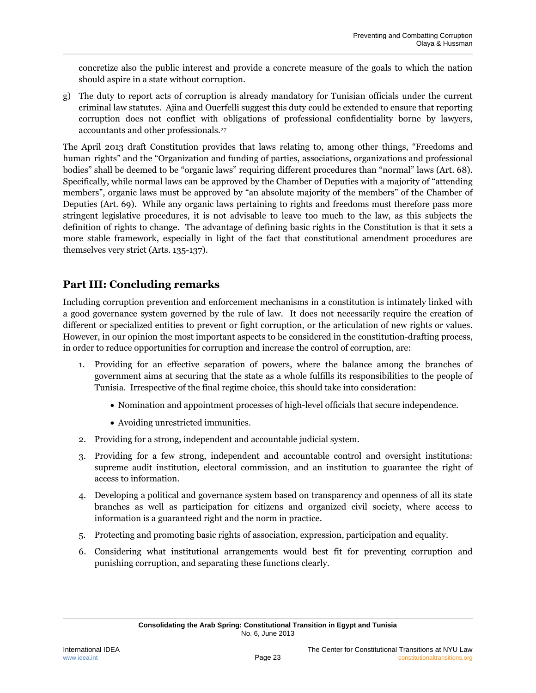concretize also the public interest and provide a concrete measure of the goals to which the nation should aspire in a state without corruption.

g) The duty to report acts of corruption is already mandatory for Tunisian officials under the current criminal law statutes. Ajina and Ouerfelli suggest this duty could be extended to ensure that reporting corruption does not conflict with obligations of professional confidentiality borne by lawyers, accountants and other professionals.<sup>27</sup>

The April 2013 draft Constitution provides that laws relating to, among other things, "Freedoms and human rights" and the "Organization and funding of parties, associations, organizations and professional bodies" shall be deemed to be "organic laws" requiring different procedures than "normal" laws (Art. 68). Specifically, while normal laws can be approved by the Chamber of Deputies with a majority of "attending members", organic laws must be approved by "an absolute majority of the members" of the Chamber of Deputies (Art. 69). While any organic laws pertaining to rights and freedoms must therefore pass more stringent legislative procedures, it is not advisable to leave too much to the law, as this subjects the definition of rights to change. The advantage of defining basic rights in the Constitution is that it sets a more stable framework, especially in light of the fact that constitutional amendment procedures are themselves very strict (Arts. 135-137).

# <span id="page-28-0"></span>**Part III: Concluding remarks**

Including corruption prevention and enforcement mechanisms in a constitution is intimately linked with a good governance system governed by the rule of law. It does not necessarily require the creation of different or specialized entities to prevent or fight corruption, or the articulation of new rights or values. However, in our opinion the most important aspects to be considered in the constitution-drafting process, in order to reduce opportunities for corruption and increase the control of corruption, are:

- 1. Providing for an effective separation of powers, where the balance among the branches of government aims at securing that the state as a whole fulfills its responsibilities to the people of Tunisia. Irrespective of the final regime choice, this should take into consideration:
	- Nomination and appointment processes of high-level officials that secure independence.
	- Avoiding unrestricted immunities.
- 2. Providing for a strong, independent and accountable judicial system.
- 3. Providing for a few strong, independent and accountable control and oversight institutions: supreme audit institution, electoral commission, and an institution to guarantee the right of access to information.
- 4. Developing a political and governance system based on transparency and openness of all its state branches as well as participation for citizens and organized civil society, where access to information is a guaranteed right and the norm in practice.
- 5. Protecting and promoting basic rights of association, expression, participation and equality.
- 6. Considering what institutional arrangements would best fit for preventing corruption and punishing corruption, and separating these functions clearly.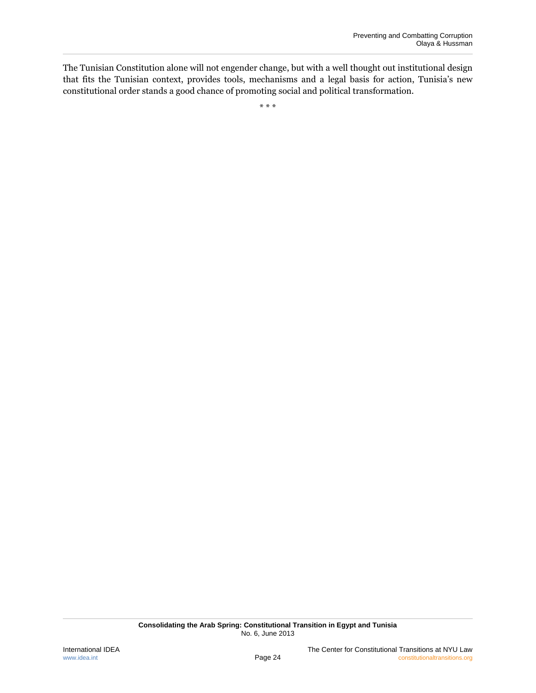The Tunisian Constitution alone will not engender change, but with a well thought out institutional design that fits the Tunisian context, provides tools, mechanisms and a legal basis for action, Tunisia's new constitutional order stands a good chance of promoting social and political transformation.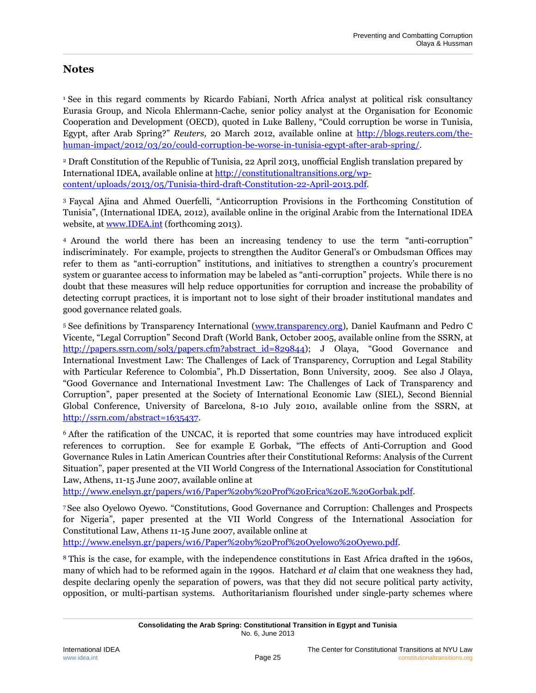### <span id="page-30-0"></span>**Notes**

<sup>1</sup> See in this regard comments by Ricardo Fabiani, North Africa analyst at political risk consultancy Eurasia Group, and Nicola Ehlermann-Cache, senior policy analyst at the [Organisation for Economic](http://www.oecd.org/home/0,2987,en_2649_201185_1_1_1_1_1,00.html)  [Cooperation and Development](http://www.oecd.org/home/0,2987,en_2649_201185_1_1_1_1_1,00.html) (OECD), quoted in Luke Balleny, "Could corruption be worse in Tunisia, Egypt, after Arab Spring?" *Reuters,* 20 March 2012, available online at [http://blogs.reuters.com/the](http://blogs.reuters.com/the-human-impact/2012/03/20/could-corruption-be-worse-in-tunisia-egypt-after-arab-spring/)[human-impact/2012/03/20/could-corruption-be-worse-in-tunisia-egypt-after-arab-spring/.](http://blogs.reuters.com/the-human-impact/2012/03/20/could-corruption-be-worse-in-tunisia-egypt-after-arab-spring/)

<sup>2</sup> Draft Constitution of the Republic of Tunisia, 22 April 2013, unofficial English translation prepared by International IDEA, available online a[t http://constitutionaltransitions.org/wp](http://constitutionaltransitions.org/wp-content/uploads/2013/05/Tunisia-third-draft-Constitution-22-April-2013.pdf)[content/uploads/2013/05/Tunisia-third-draft-Constitution-22-April-2013.pdf.](http://constitutionaltransitions.org/wp-content/uploads/2013/05/Tunisia-third-draft-Constitution-22-April-2013.pdf)

<sup>3</sup> Faycal Ajina and Ahmed Ouerfelli, "Anticorruption Provisions in the Forthcoming Constitution of Tunisia", (International IDEA, 2012), available online in the original Arabic from the International IDEA website, at <u>www.IDEA.int</u> (forthcoming 2013).

<sup>4</sup> Around the world there has been an increasing tendency to use the term "anti-corruption" indiscriminately. For example, projects to strengthen the Auditor General's or Ombudsman Offices may refer to them as "anti-corruption" institutions, and initiatives to strengthen a country's procurement system or guarantee access to information may be labeled as "anti-corruption" projects. While there is no doubt that these measures will help reduce opportunities for corruption and increase the probability of detecting corrupt practices, it is important not to lose sight of their broader institutional mandates and good governance related goals.

<sup>5</sup> See definitions by Transparency International [\(www.transparency.org\)](http://www.transparency.org/), Daniel Kaufmann and Pedro C Vicente, "Legal Corruption" Second Draft (World Bank, October 2005, available online from the SSRN, at [http://papers.ssrn.com/sol3/papers.cfm?abstract\\_id=829844\)](http://papers.ssrn.com/sol3/papers.cfm?abstract_id=829844); J Olaya, "Good Governance and International Investment Law: The Challenges of Lack of Transparency, Corruption and Legal Stability with Particular Reference to Colombia", Ph.D Dissertation, Bonn University, 2009. See also J Olaya, "Good Governance and International Investment Law: The Challenges of Lack of Transparency and Corruption", paper presented at the Society of International Economic Law (SIEL), Second Biennial Global Conference, University of Barcelona, 8-10 July 2010, available online from the SSRN, at [http://ssrn.com/abstract=1635437.](http://ssrn.com/abstract=1635437)

<sup>6</sup> After the ratification of the UNCAC, it is reported that some countries may have introduced explicit references to corruption. See for example E Gorbak, "The effects of Anti-Corruption and Good Governance Rules in Latin American Countries after their Constitutional Reforms: Analysis of the Current Situation", paper presented at the VII World Congress of the International Association for Constitutional Law, Athens, 11-15 June 2007, available online at

[http://www.enelsyn.gr/papers/w16/Paper%20by%20Prof%20Erica%20E.%20Gorbak.pdf.](http://www.enelsyn.gr/papers/w16/Paper%20by%20Prof%20Erica%20E.%20Gorbak.pdf)

<sup>7</sup> See also Oyelowo Oyewo. "Constitutions, Good Governance and Corruption: Challenges and Prospects for Nigeria", paper presented at the VII World Congress of the International Association for Constitutional Law, Athens 11-15 June 2007, available online at

[http://www.enelsyn.gr/papers/w16/Paper%20by%20Prof%20Oyelowo%20Oyewo.pdf.](http://www.enelsyn.gr/papers/w16/Paper%20by%20Prof%20Oyelowo%20Oyewo.pdf)

<sup>8</sup> This is the case, for example, with the independence constitutions in East Africa drafted in the 1960s, many of which had to be reformed again in the 1990s. Hatchard *et al* claim that one weakness they had, despite declaring openly the separation of powers, was that they did not secure political party activity, opposition, or multi-partisan systems. Authoritarianism flourished under single-party schemes where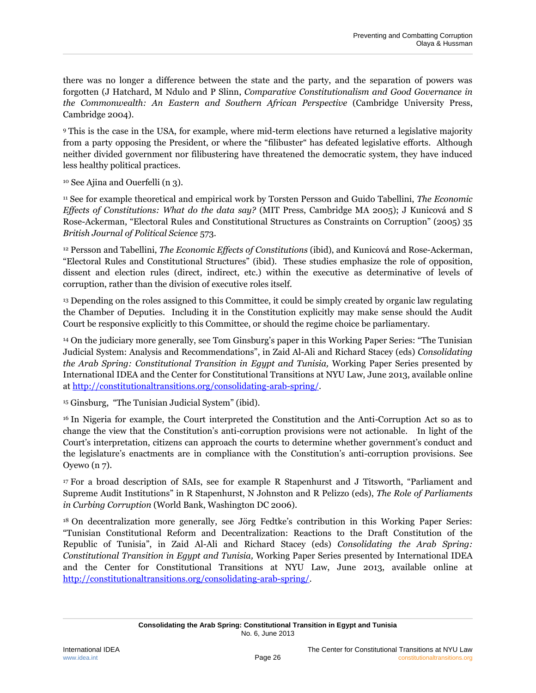there was no longer a difference between the state and the party, and the separation of powers was forgotten (J Hatchard, M Ndulo and P Slinn, *Comparative Constitutionalism and Good Governance in the Commonwealth: An Eastern and Southern African Perspective* (Cambridge University Press, Cambridge 2004).

<sup>9</sup> This is the case in the USA, for example, where mid-term elections have returned a legislative majority from a party opposing the President, or where the "filibuster" has defeated legislative efforts. Although neither divided government nor filibustering have threatened the democratic system, they have induced less healthy political practices.

<sup>10</sup> See Ajina and Ouerfelli (n [3\)](#page-6-3).

<sup>11</sup> See for example theoretical and empirical work by Torsten Persson and Guido Tabellini, *The Economic Effects of Constitutions: What do the data say?* (MIT Press, Cambridge MA 2005); J Kunicová and S Rose-Ackerman, "Electoral Rules and Constitutional Structures as Constraints on Corruption" (2005) 35 *British Journal of Political Science* 573.

<sup>12</sup> Persson and Tabellini, *The Economic Effects of Constitutions* (ibid), and Kunicová and Rose-Ackerman, "Electoral Rules and Constitutional Structures" (ibid). These studies emphasize the role of opposition, dissent and election rules (direct, indirect, etc.) within the executive as determinative of levels of corruption, rather than the division of executive roles itself.

<sup>13</sup> Depending on the roles assigned to this Committee, it could be simply created by organic law regulating the Chamber of Deputies. Including it in the Constitution explicitly may make sense should the Audit Court be responsive explicitly to this Committee, or should the regime choice be parliamentary.

<sup>14</sup> On the judiciary more generally, see Tom Ginsburg's paper in this Working Paper Series: "The Tunisian Judicial System: Analysis and Recommendations", in Zaid Al-Ali and Richard Stacey (eds) *Consolidating the Arab Spring: Constitutional Transition in Egypt and Tunisia,* Working Paper Series presented by International IDEA and the Center for Constitutional Transitions at NYU Law, June 2013, available online at [http://constitutionaltransitions.org/consolidating-arab-spring/.](http://constitutionaltransitions.org/consolidating-arab-spring/)

<sup>15</sup> Ginsburg, "The Tunisian Judicial System" (ibid).

<sup>16</sup> In Nigeria for example, the Court interpreted the Constitution and the Anti-Corruption Act so as to change the view that the Constitution's anti-corruption provisions were not actionable. In light of the Court's interpretation, citizens can approach the courts to determine whether government's conduct and the legislature's enactments are in compliance with the Constitution's anti-corruption provisions. See Oyewo ([n 7\)](#page-8-1).

<sup>17</sup> For a broad description of SAIs, see for example R Stapenhurst and J Titsworth, "Parliament and Supreme Audit Institutions" in R Stapenhurst, N Johnston and R Pelizzo (eds), *The Role of Parliaments in Curbing Corruption* (World Bank, Washington DC 2006).

<sup>18</sup> On decentralization more generally, see Jörg Fedtke's contribution in this Working Paper Series: "Tunisian Constitutional Reform and Decentralization: Reactions to the Draft Constitution of the Republic of Tunisia", in Zaid Al-Ali and Richard Stacey (eds) *Consolidating the Arab Spring: Constitutional Transition in Egypt and Tunisia,* Working Paper Series presented by International IDEA and the Center for Constitutional Transitions at NYU Law, June 2013, available online at [http://constitutionaltransitions.org/consolidating-arab-spring/.](http://constitutionaltransitions.org/consolidating-arab-spring/)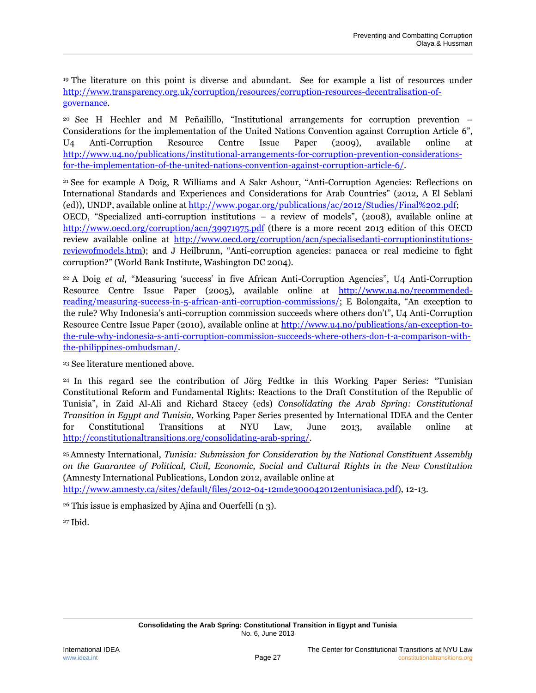<sup>19</sup> The literature on this point is diverse and abundant. See for example a list of resources under [http://www.transparency.org.uk/corruption/resources/corruption-resources-decentralisation-of](http://www.transparency.org.uk/corruption/resources/corruption-resources-decentralisation-of-governance)[governance.](http://www.transparency.org.uk/corruption/resources/corruption-resources-decentralisation-of-governance)

<sup>20</sup> See H Hechler and M Peñailillo, "Institutional arrangements for corruption prevention – Considerations for the implementation of the United Nations Convention against Corruption Article 6", U4 Anti-Corruption Resource Centre Issue Paper (2009), available online at [http://www.u4.no/publications/institutional-arrangements-for-corruption-prevention-considerations](http://www.u4.no/publications/institutional-arrangements-for-corruption-prevention-considerations-for-the-implementation-of-the-united-nations-convention-against-corruption-article-6/)[for-the-implementation-of-the-united-nations-convention-against-corruption-article-6/.](http://www.u4.no/publications/institutional-arrangements-for-corruption-prevention-considerations-for-the-implementation-of-the-united-nations-convention-against-corruption-article-6/)

<sup>21</sup> See for example A Doig, R Williams and A Sakr Ashour, "Anti-Corruption Agencies: Reflections on International Standards and Experiences and Considerations for Arab Countries" (2012, A El Seblani (ed)), UNDP, available online at [http://www.pogar.org/publications/ac/2012/Studies/Final%202.pdf;](http://www.pogar.org/publications/ac/2012/Studies/Final%202.pdf) OECD, "Specialized anti-corruption institutions – a review of models", (2008), available online at <http://www.oecd.org/corruption/acn/39971975.pdf> (there is a more recent 2013 edition of this OECD review available online at [http://www.oecd.org/corruption/acn/specialisedanti-corruptioninstitutions](http://www.oecd.org/corruption/acn/specialisedanti-corruptioninstitutions-reviewofmodels.htm)[reviewofmodels.htm\)](http://www.oecd.org/corruption/acn/specialisedanti-corruptioninstitutions-reviewofmodels.htm); and J Heilbrunn, "Anti-corruption agencies: panacea or real medicine to fight corruption?" (World Bank Institute, Washington DC 2004).

<sup>22</sup> A Doig *et al,* "Measuring 'success' in five African Anti-Corruption Agencies", U4 Anti-Corruption Resource Centre Issue Paper (2005), available online at [http://www.u4.no/recommended](http://www.u4.no/recommended-reading/measuring-success-in-5-african-anti-corruption-commissions/)[reading/measuring-success-in-5-african-anti-corruption-commissions/](http://www.u4.no/recommended-reading/measuring-success-in-5-african-anti-corruption-commissions/); E Bolongaita, "An exception to the rule? Why Indonesia's anti-corruption commission succeeds where others don't", U4 Anti-Corruption Resource Centre Issue Paper (2010), available online at [http://www.u4.no/publications/an-exception-to](http://www.u4.no/publications/an-exception-to-the-rule-why-indonesia-s-anti-corruption-commission-succeeds-where-others-don-t-a-comparison-with-the-philippines-ombudsman/)[the-rule-why-indonesia-s-anti-corruption-commission-succeeds-where-others-don-t-a-comparison-with](http://www.u4.no/publications/an-exception-to-the-rule-why-indonesia-s-anti-corruption-commission-succeeds-where-others-don-t-a-comparison-with-the-philippines-ombudsman/)[the-philippines-ombudsman/.](http://www.u4.no/publications/an-exception-to-the-rule-why-indonesia-s-anti-corruption-commission-succeeds-where-others-don-t-a-comparison-with-the-philippines-ombudsman/)

<sup>23</sup> See literature mentioned above.

<sup>24</sup> In this regard see the contribution of Jörg Fedtke in this Working Paper Series: "Tunisian Constitutional Reform and Fundamental Rights: Reactions to the Draft Constitution of the Republic of Tunisia", in Zaid Al-Ali and Richard Stacey (eds) *Consolidating the Arab Spring: Constitutional Transition in Egypt and Tunisia,* Working Paper Series presented by International IDEA and the Center for Constitutional Transitions at NYU Law, June 2013, available online at [http://constitutionaltransitions.org/consolidating-arab-spring/.](http://constitutionaltransitions.org/consolidating-arab-spring/)

<sup>25</sup>Amnesty International, *Tunisia: Submission for Consideration by the National Constituent Assembly on the Guarantee of Political, Civil, Economic, Social and Cultural Rights in the New Constitution*  (Amnesty International Publications, London 2012, available online at

[http://www.amnesty.ca/sites/default/files/2012-04-12mde300042012entunisiaca.pdf\)](http://www.amnesty.ca/sites/default/files/2012-04-12mde300042012entunisiaca.pdf), 12-13.

<sup>26</sup> This issue is emphasized by Ajina and Ouerfelli (n [3\)](#page-6-3).

<sup>27</sup> Ibid.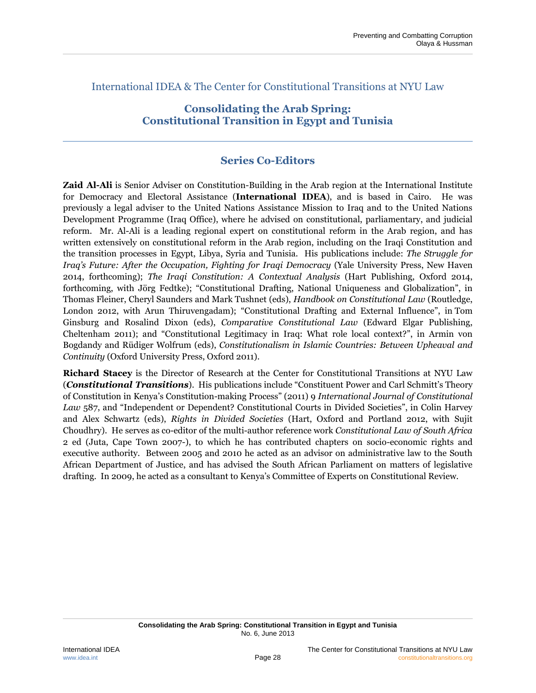International IDEA & The Center for Constitutional Transitions at NYU Law

# **Consolidating the Arab Spring: Constitutional Transition in Egypt and Tunisia**

### **Series Co-Editors**

**Zaid Al-Ali** is Senior Adviser on Constitution-Building in the Arab region at the International Institute for Democracy and Electoral Assistance (**International IDEA**), and is based in Cairo. He was previously a legal adviser to the United Nations Assistance Mission to Iraq and to the United Nations Development Programme (Iraq Office), where he advised on constitutional, parliamentary, and judicial reform. Mr. Al-Ali is a leading regional expert on constitutional reform in the Arab region, and has written extensively on constitutional reform in the Arab region, including on the Iraqi Constitution and the transition processes in Egypt, Libya, Syria and Tunisia. His publications include: *The Struggle for Iraq's Future: After the Occupation, Fighting for Iraqi Democracy* (Yale University Press, New Haven 2014, forthcoming); *The Iraqi Constitution: A Contextual Analysis* (Hart Publishing, Oxford 2014, forthcoming, with Jörg Fedtke); "Constitutional Drafting, National Uniqueness and Globalization", in Thomas Fleiner, Cheryl Saunders and Mark Tushnet (eds), *Handbook on Constitutional Law* (Routledge, London 2012, with Arun Thiruvengadam); "Constitutional Drafting and External Influence", in Tom Ginsburg and Rosalind Dixon (eds), *Comparative Constitutional Law* (Edward Elgar Publishing, Cheltenham 2011); and "Constitutional Legitimacy in Iraq: What role local context?", in Armin von Bogdandy and Rüdiger Wolfrum (eds), *Constitutionalism in Islamic Countries: Between Upheaval and Continuity* (Oxford University Press, Oxford 2011).

**Richard Stacey** is the Director of Research at the Center for Constitutional Transitions at NYU Law (*Constitutional Transitions*). His publications include "Constituent Power and Carl Schmitt's Theory of Constitution in Kenya's Constitution-making Process" (2011) 9 *International Journal of Constitutional Law* 587, and "Independent or Dependent? Constitutional Courts in Divided Societies", in Colin Harvey and Alex Schwartz (eds), *Rights in Divided Societies* (Hart, Oxford and Portland 2012, with Sujit Choudhry). He serves as co-editor of the multi-author reference work *Constitutional Law of South Africa* 2 ed (Juta, Cape Town 2007-), to which he has contributed chapters on socio-economic rights and executive authority. Between 2005 and 2010 he acted as an advisor on administrative law to the South African Department of Justice, and has advised the South African Parliament on matters of legislative drafting. In 2009, he acted as a consultant to Kenya's Committee of Experts on Constitutional Review.